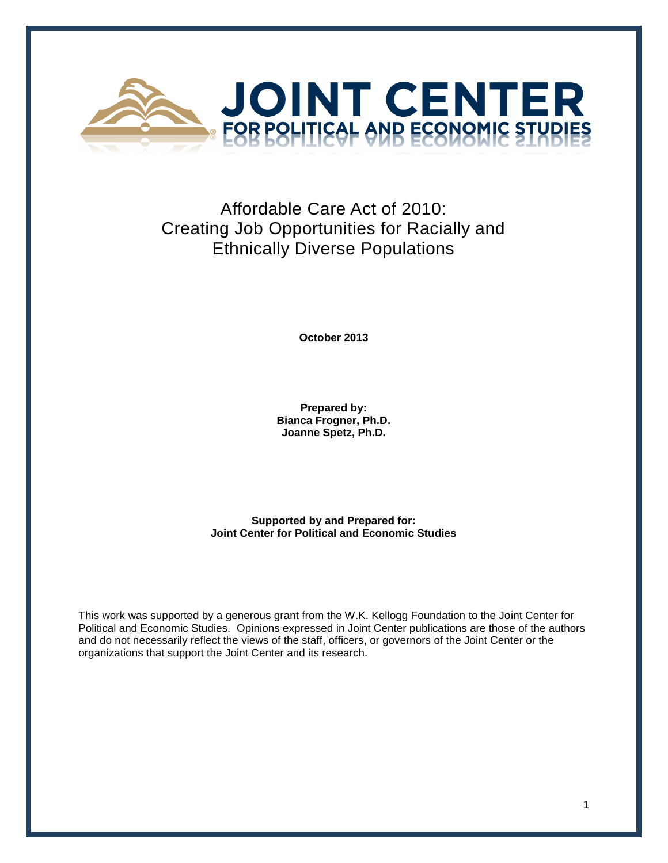

# Affordable Care Act of 2010: Creating Job Opportunities for Racially and Ethnically Diverse Populations

**October 2013**

**Prepared by: Bianca Frogner, Ph.D. Joanne Spetz, Ph.D.**

**Supported by and Prepared for: Joint Center for Political and Economic Studies**

This work was supported by a generous grant from the W.K. Kellogg Foundation to the Joint Center for Political and Economic Studies. Opinions expressed in Joint Center publications are those of the authors and do not necessarily reflect the views of the staff, officers, or governors of the Joint Center or the organizations that support the Joint Center and its research.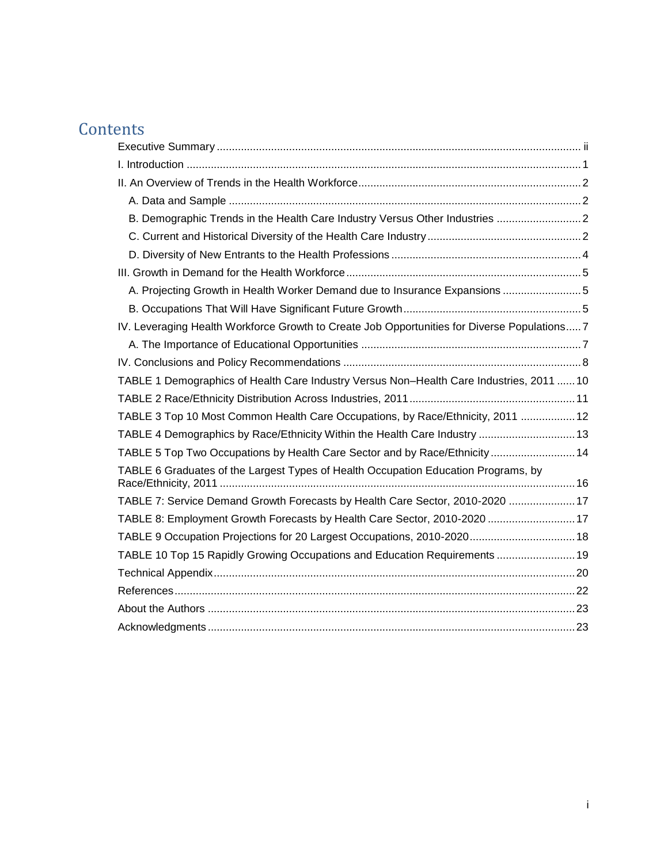# **Contents**

| A. Projecting Growth in Health Worker Demand due to Insurance Expansions 5                   |  |
|----------------------------------------------------------------------------------------------|--|
|                                                                                              |  |
| IV. Leveraging Health Workforce Growth to Create Job Opportunities for Diverse Populations 7 |  |
|                                                                                              |  |
|                                                                                              |  |
| TABLE 1 Demographics of Health Care Industry Versus Non-Health Care Industries, 2011  10     |  |
|                                                                                              |  |
| TABLE 3 Top 10 Most Common Health Care Occupations, by Race/Ethnicity, 2011  12              |  |
| TABLE 4 Demographics by Race/Ethnicity Within the Health Care Industry  13                   |  |
| TABLE 5 Top Two Occupations by Health Care Sector and by Race/Ethnicity  14                  |  |
| TABLE 6 Graduates of the Largest Types of Health Occupation Education Programs, by           |  |
| TABLE 7: Service Demand Growth Forecasts by Health Care Sector, 2010-2020  17                |  |
| TABLE 8: Employment Growth Forecasts by Health Care Sector, 2010-2020  17                    |  |
|                                                                                              |  |
|                                                                                              |  |
| TABLE 10 Top 15 Rapidly Growing Occupations and Education Requirements  19                   |  |
|                                                                                              |  |
|                                                                                              |  |
|                                                                                              |  |
|                                                                                              |  |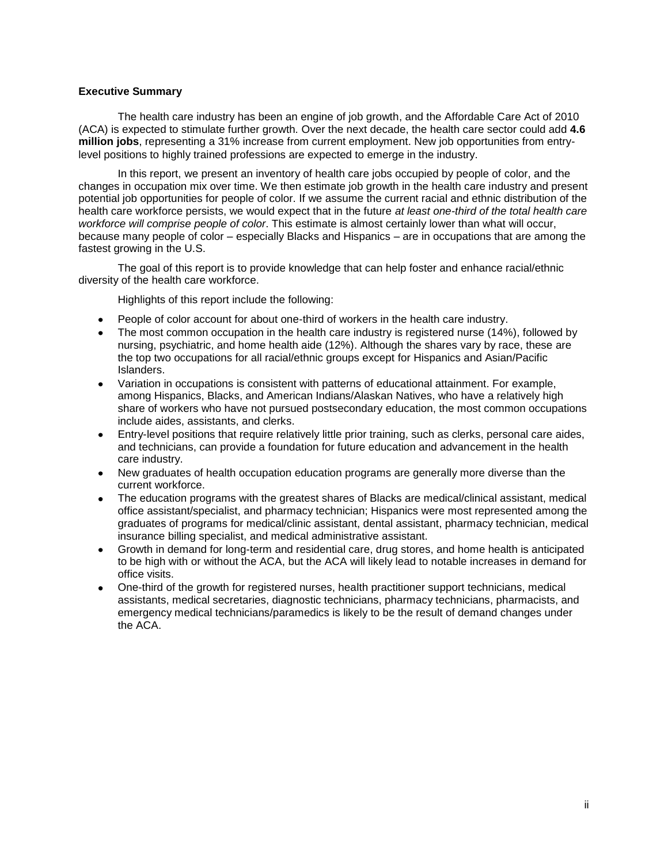# <span id="page-2-0"></span>**Executive Summary**

The health care industry has been an engine of job growth, and the Affordable Care Act of 2010 (ACA) is expected to stimulate further growth. Over the next decade, the health care sector could add **4.6 million jobs**, representing a 31% increase from current employment. New job opportunities from entrylevel positions to highly trained professions are expected to emerge in the industry.

In this report, we present an inventory of health care jobs occupied by people of color, and the changes in occupation mix over time. We then estimate job growth in the health care industry and present potential job opportunities for people of color. If we assume the current racial and ethnic distribution of the health care workforce persists, we would expect that in the future *at least one-third of the total health care workforce will comprise people of color*. This estimate is almost certainly lower than what will occur, because many people of color – especially Blacks and Hispanics – are in occupations that are among the fastest growing in the U.S.

The goal of this report is to provide knowledge that can help foster and enhance racial/ethnic diversity of the health care workforce.

Highlights of this report include the following:

- People of color account for about one-third of workers in the health care industry.
- The most common occupation in the health care industry is registered nurse (14%), followed by nursing, psychiatric, and home health aide (12%). Although the shares vary by race, these are the top two occupations for all racial/ethnic groups except for Hispanics and Asian/Pacific Islanders.
- Variation in occupations is consistent with patterns of educational attainment. For example, among Hispanics, Blacks, and American Indians/Alaskan Natives, who have a relatively high share of workers who have not pursued postsecondary education, the most common occupations include aides, assistants, and clerks.
- Entry-level positions that require relatively little prior training, such as clerks, personal care aides, and technicians, can provide a foundation for future education and advancement in the health care industry.
- New graduates of health occupation education programs are generally more diverse than the current workforce.
- The education programs with the greatest shares of Blacks are medical/clinical assistant, medical office assistant/specialist, and pharmacy technician; Hispanics were most represented among the graduates of programs for medical/clinic assistant, dental assistant, pharmacy technician, medical insurance billing specialist, and medical administrative assistant.
- Growth in demand for long-term and residential care, drug stores, and home health is anticipated to be high with or without the ACA, but the ACA will likely lead to notable increases in demand for office visits.
- One-third of the growth for registered nurses, health practitioner support technicians, medical assistants, medical secretaries, diagnostic technicians, pharmacy technicians, pharmacists, and emergency medical technicians/paramedics is likely to be the result of demand changes under the ACA.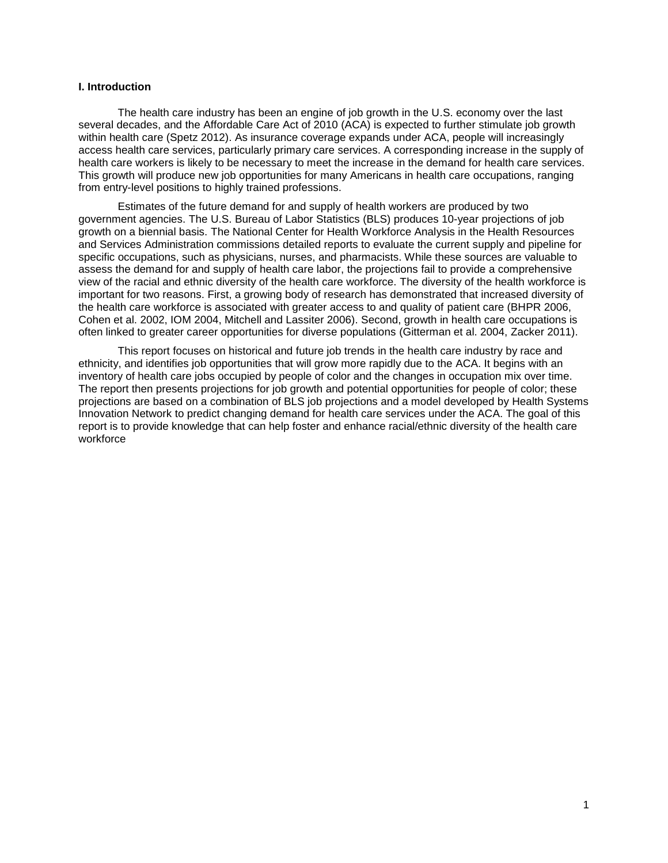#### <span id="page-3-0"></span>**I. Introduction**

The health care industry has been an engine of job growth in the U.S. economy over the last several decades, and the Affordable Care Act of 2010 (ACA) is expected to further stimulate job growth within health care (Spetz 2012). As insurance coverage expands under ACA, people will increasingly access health care services, particularly primary care services. A corresponding increase in the supply of health care workers is likely to be necessary to meet the increase in the demand for health care services. This growth will produce new job opportunities for many Americans in health care occupations, ranging from entry-level positions to highly trained professions.

Estimates of the future demand for and supply of health workers are produced by two government agencies. The U.S. Bureau of Labor Statistics (BLS) produces 10-year projections of job growth on a biennial basis. The National Center for Health Workforce Analysis in the Health Resources and Services Administration commissions detailed reports to evaluate the current supply and pipeline for specific occupations, such as physicians, nurses, and pharmacists. While these sources are valuable to assess the demand for and supply of health care labor, the projections fail to provide a comprehensive view of the racial and ethnic diversity of the health care workforce. The diversity of the health workforce is important for two reasons. First, a growing body of research has demonstrated that increased diversity of the health care workforce is associated with greater access to and quality of patient care (BHPR 2006, Cohen et al. 2002, IOM 2004, Mitchell and Lassiter 2006). Second, growth in health care occupations is often linked to greater career opportunities for diverse populations (Gitterman et al. 2004, Zacker 2011).

This report focuses on historical and future job trends in the health care industry by race and ethnicity, and identifies job opportunities that will grow more rapidly due to the ACA. It begins with an inventory of health care jobs occupied by people of color and the changes in occupation mix over time. The report then presents projections for job growth and potential opportunities for people of color; these projections are based on a combination of BLS job projections and a model developed by Health Systems Innovation Network to predict changing demand for health care services under the ACA. The goal of this report is to provide knowledge that can help foster and enhance racial/ethnic diversity of the health care workforce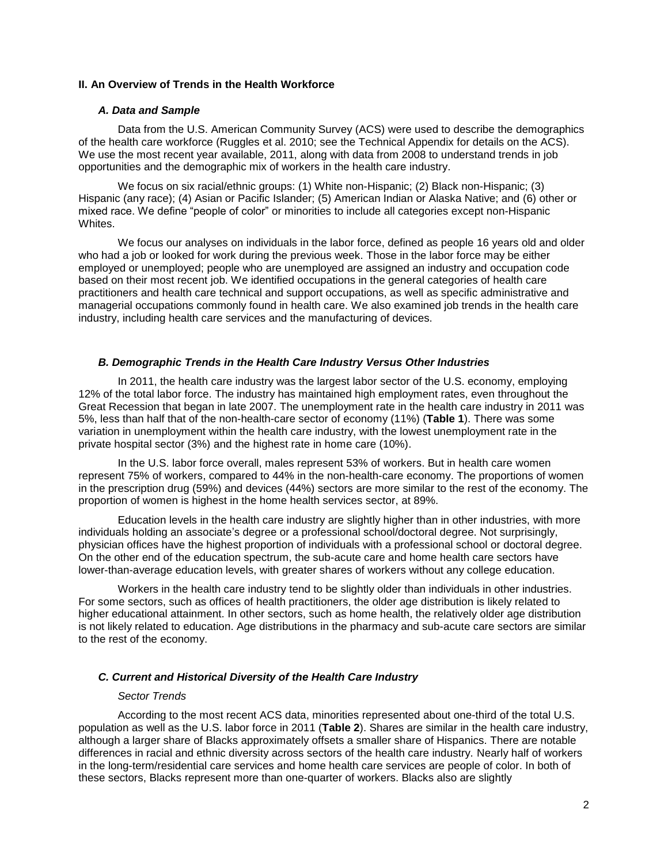# <span id="page-4-0"></span>**II. An Overview of Trends in the Health Workforce**

### *A. Data and Sample*

<span id="page-4-1"></span>Data from the U.S. American Community Survey (ACS) were used to describe the demographics of the health care workforce (Ruggles et al. 2010; see the Technical Appendix for details on the ACS). We use the most recent year available, 2011, along with data from 2008 to understand trends in job opportunities and the demographic mix of workers in the health care industry.

We focus on six racial/ethnic groups: (1) White non-Hispanic; (2) Black non-Hispanic; (3) Hispanic (any race); (4) Asian or Pacific Islander; (5) American Indian or Alaska Native; and (6) other or mixed race. We define "people of color" or minorities to include all categories except non-Hispanic Whites.

We focus our analyses on individuals in the labor force, defined as people 16 years old and older who had a job or looked for work during the previous week. Those in the labor force may be either employed or unemployed; people who are unemployed are assigned an industry and occupation code based on their most recent job. We identified occupations in the general categories of health care practitioners and health care technical and support occupations, as well as specific administrative and managerial occupations commonly found in health care. We also examined job trends in the health care industry, including health care services and the manufacturing of devices.

### *B. Demographic Trends in the Health Care Industry Versus Other Industries*

<span id="page-4-2"></span>In 2011, the health care industry was the largest labor sector of the U.S. economy, employing 12% of the total labor force. The industry has maintained high employment rates, even throughout the Great Recession that began in late 2007. The unemployment rate in the health care industry in 2011 was 5%, less than half that of the non-health-care sector of economy (11%) (**Table 1**). There was some variation in unemployment within the health care industry, with the lowest unemployment rate in the private hospital sector (3%) and the highest rate in home care (10%).

In the U.S. labor force overall, males represent 53% of workers. But in health care women represent 75% of workers, compared to 44% in the non-health-care economy. The proportions of women in the prescription drug (59%) and devices (44%) sectors are more similar to the rest of the economy. The proportion of women is highest in the home health services sector, at 89%.

Education levels in the health care industry are slightly higher than in other industries, with more individuals holding an associate's degree or a professional school/doctoral degree. Not surprisingly, physician offices have the highest proportion of individuals with a professional school or doctoral degree. On the other end of the education spectrum, the sub-acute care and home health care sectors have lower-than-average education levels, with greater shares of workers without any college education.

Workers in the health care industry tend to be slightly older than individuals in other industries. For some sectors, such as offices of health practitioners, the older age distribution is likely related to higher educational attainment. In other sectors, such as home health, the relatively older age distribution is not likely related to education. Age distributions in the pharmacy and sub-acute care sectors are similar to the rest of the economy.

## <span id="page-4-3"></span>*C. Current and Historical Diversity of the Health Care Industry*

## *Sector Trends*

According to the most recent ACS data, minorities represented about one-third of the total U.S. population as well as the U.S. labor force in 2011 (**Table 2**). Shares are similar in the health care industry, although a larger share of Blacks approximately offsets a smaller share of Hispanics. There are notable differences in racial and ethnic diversity across sectors of the health care industry. Nearly half of workers in the long-term/residential care services and home health care services are people of color. In both of these sectors, Blacks represent more than one-quarter of workers. Blacks also are slightly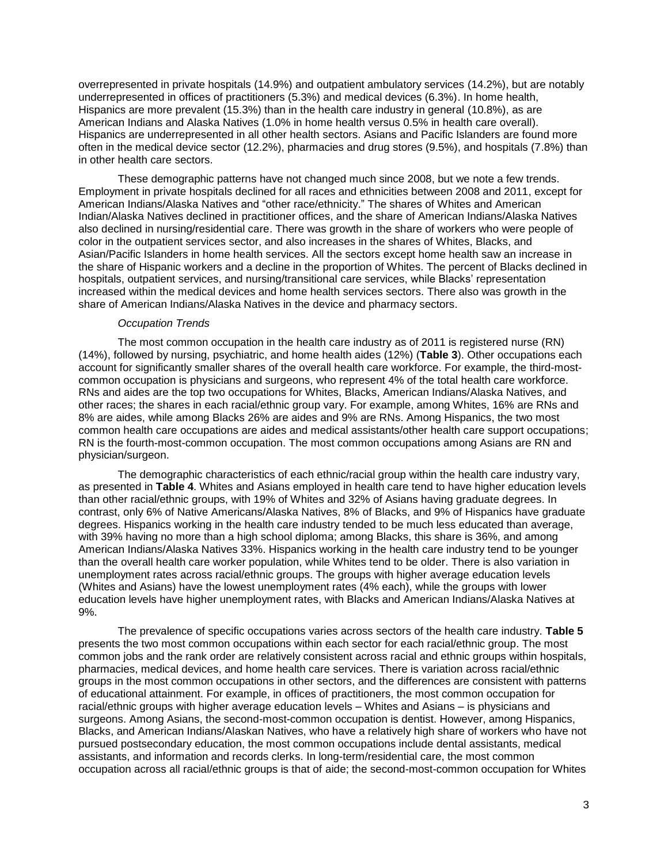overrepresented in private hospitals (14.9%) and outpatient ambulatory services (14.2%), but are notably underrepresented in offices of practitioners (5.3%) and medical devices (6.3%). In home health, Hispanics are more prevalent (15.3%) than in the health care industry in general (10.8%), as are American Indians and Alaska Natives (1.0% in home health versus 0.5% in health care overall). Hispanics are underrepresented in all other health sectors. Asians and Pacific Islanders are found more often in the medical device sector (12.2%), pharmacies and drug stores (9.5%), and hospitals (7.8%) than in other health care sectors.

These demographic patterns have not changed much since 2008, but we note a few trends. Employment in private hospitals declined for all races and ethnicities between 2008 and 2011, except for American Indians/Alaska Natives and "other race/ethnicity." The shares of Whites and American Indian/Alaska Natives declined in practitioner offices, and the share of American Indians/Alaska Natives also declined in nursing/residential care. There was growth in the share of workers who were people of color in the outpatient services sector, and also increases in the shares of Whites, Blacks, and Asian/Pacific Islanders in home health services. All the sectors except home health saw an increase in the share of Hispanic workers and a decline in the proportion of Whites. The percent of Blacks declined in hospitals, outpatient services, and nursing/transitional care services, while Blacks' representation increased within the medical devices and home health services sectors. There also was growth in the share of American Indians/Alaska Natives in the device and pharmacy sectors.

#### *Occupation Trends*

The most common occupation in the health care industry as of 2011 is registered nurse (RN) (14%), followed by nursing, psychiatric, and home health aides (12%) (**Table 3**). Other occupations each account for significantly smaller shares of the overall health care workforce. For example, the third-mostcommon occupation is physicians and surgeons, who represent 4% of the total health care workforce. RNs and aides are the top two occupations for Whites, Blacks, American Indians/Alaska Natives, and other races; the shares in each racial/ethnic group vary. For example, among Whites, 16% are RNs and 8% are aides, while among Blacks 26% are aides and 9% are RNs. Among Hispanics, the two most common health care occupations are aides and medical assistants/other health care support occupations; RN is the fourth-most-common occupation. The most common occupations among Asians are RN and physician/surgeon.

The demographic characteristics of each ethnic/racial group within the health care industry vary, as presented in **Table 4**. Whites and Asians employed in health care tend to have higher education levels than other racial/ethnic groups, with 19% of Whites and 32% of Asians having graduate degrees. In contrast, only 6% of Native Americans/Alaska Natives, 8% of Blacks, and 9% of Hispanics have graduate degrees. Hispanics working in the health care industry tended to be much less educated than average, with 39% having no more than a high school diploma; among Blacks, this share is 36%, and among American Indians/Alaska Natives 33%. Hispanics working in the health care industry tend to be younger than the overall health care worker population, while Whites tend to be older. There is also variation in unemployment rates across racial/ethnic groups. The groups with higher average education levels (Whites and Asians) have the lowest unemployment rates (4% each), while the groups with lower education levels have higher unemployment rates, with Blacks and American Indians/Alaska Natives at 9%.

The prevalence of specific occupations varies across sectors of the health care industry. **Table 5** presents the two most common occupations within each sector for each racial/ethnic group. The most common jobs and the rank order are relatively consistent across racial and ethnic groups within hospitals, pharmacies, medical devices, and home health care services. There is variation across racial/ethnic groups in the most common occupations in other sectors, and the differences are consistent with patterns of educational attainment. For example, in offices of practitioners, the most common occupation for racial/ethnic groups with higher average education levels – Whites and Asians – is physicians and surgeons. Among Asians, the second-most-common occupation is dentist. However, among Hispanics, Blacks, and American Indians/Alaskan Natives, who have a relatively high share of workers who have not pursued postsecondary education, the most common occupations include dental assistants, medical assistants, and information and records clerks. In long-term/residential care, the most common occupation across all racial/ethnic groups is that of aide; the second-most-common occupation for Whites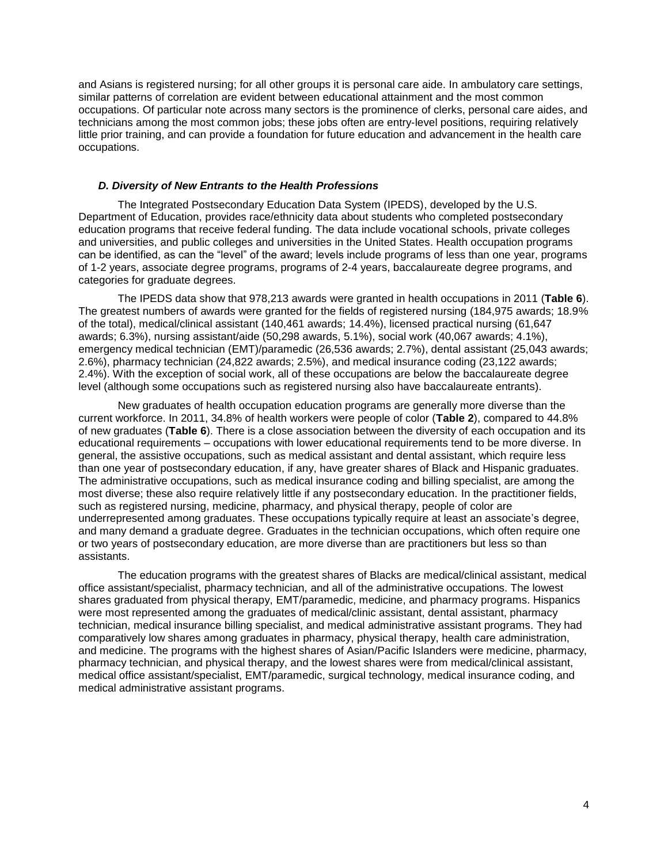and Asians is registered nursing; for all other groups it is personal care aide. In ambulatory care settings, similar patterns of correlation are evident between educational attainment and the most common occupations. Of particular note across many sectors is the prominence of clerks, personal care aides, and technicians among the most common jobs; these jobs often are entry-level positions, requiring relatively little prior training, and can provide a foundation for future education and advancement in the health care occupations.

# *D. Diversity of New Entrants to the Health Professions*

<span id="page-6-0"></span>The Integrated Postsecondary Education Data System (IPEDS), developed by the U.S. Department of Education, provides race/ethnicity data about students who completed postsecondary education programs that receive federal funding. The data include vocational schools, private colleges and universities, and public colleges and universities in the United States. Health occupation programs can be identified, as can the "level" of the award; levels include programs of less than one year, programs of 1-2 years, associate degree programs, programs of 2-4 years, baccalaureate degree programs, and categories for graduate degrees.

The IPEDS data show that 978,213 awards were granted in health occupations in 2011 (**Table 6**). The greatest numbers of awards were granted for the fields of registered nursing (184,975 awards; 18.9% of the total), medical/clinical assistant (140,461 awards; 14.4%), licensed practical nursing (61,647 awards; 6.3%), nursing assistant/aide (50,298 awards, 5.1%), social work (40,067 awards; 4.1%), emergency medical technician (EMT)/paramedic (26,536 awards; 2.7%), dental assistant (25,043 awards; 2.6%), pharmacy technician (24,822 awards; 2.5%), and medical insurance coding (23,122 awards; 2.4%). With the exception of social work, all of these occupations are below the baccalaureate degree level (although some occupations such as registered nursing also have baccalaureate entrants).

New graduates of health occupation education programs are generally more diverse than the current workforce. In 2011, 34.8% of health workers were people of color (**Table 2**), compared to 44.8% of new graduates (**Table 6**). There is a close association between the diversity of each occupation and its educational requirements – occupations with lower educational requirements tend to be more diverse. In general, the assistive occupations, such as medical assistant and dental assistant, which require less than one year of postsecondary education, if any, have greater shares of Black and Hispanic graduates. The administrative occupations, such as medical insurance coding and billing specialist, are among the most diverse; these also require relatively little if any postsecondary education. In the practitioner fields, such as registered nursing, medicine, pharmacy, and physical therapy, people of color are underrepresented among graduates. These occupations typically require at least an associate's degree, and many demand a graduate degree. Graduates in the technician occupations, which often require one or two years of postsecondary education, are more diverse than are practitioners but less so than assistants.

The education programs with the greatest shares of Blacks are medical/clinical assistant, medical office assistant/specialist, pharmacy technician, and all of the administrative occupations. The lowest shares graduated from physical therapy, EMT/paramedic, medicine, and pharmacy programs. Hispanics were most represented among the graduates of medical/clinic assistant, dental assistant, pharmacy technician, medical insurance billing specialist, and medical administrative assistant programs. They had comparatively low shares among graduates in pharmacy, physical therapy, health care administration, and medicine. The programs with the highest shares of Asian/Pacific Islanders were medicine, pharmacy, pharmacy technician, and physical therapy, and the lowest shares were from medical/clinical assistant, medical office assistant/specialist, EMT/paramedic, surgical technology, medical insurance coding, and medical administrative assistant programs.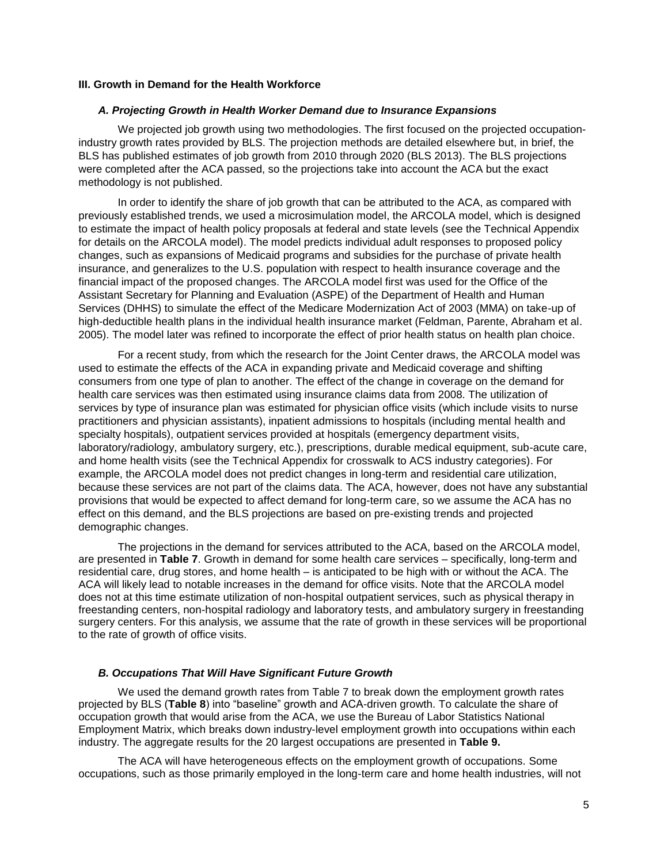# <span id="page-7-0"></span>**III. Growth in Demand for the Health Workforce**

#### *A. Projecting Growth in Health Worker Demand due to Insurance Expansions*

<span id="page-7-1"></span>We projected job growth using two methodologies. The first focused on the projected occupationindustry growth rates provided by BLS. The projection methods are detailed elsewhere but, in brief, the BLS has published estimates of job growth from 2010 through 2020 (BLS 2013). The BLS projections were completed after the ACA passed, so the projections take into account the ACA but the exact methodology is not published.

In order to identify the share of job growth that can be attributed to the ACA, as compared with previously established trends, we used a microsimulation model, the ARCOLA model, which is designed to estimate the impact of health policy proposals at federal and state levels (see the Technical Appendix for details on the ARCOLA model). The model predicts individual adult responses to proposed policy changes, such as expansions of Medicaid programs and subsidies for the purchase of private health insurance, and generalizes to the U.S. population with respect to health insurance coverage and the financial impact of the proposed changes. The ARCOLA model first was used for the Office of the Assistant Secretary for Planning and Evaluation (ASPE) of the Department of Health and Human Services (DHHS) to simulate the effect of the Medicare Modernization Act of 2003 (MMA) on take-up of high-deductible health plans in the individual health insurance market (Feldman, Parente, Abraham et al. 2005). The model later was refined to incorporate the effect of prior health status on health plan choice.

For a recent study, from which the research for the Joint Center draws, the ARCOLA model was used to estimate the effects of the ACA in expanding private and Medicaid coverage and shifting consumers from one type of plan to another. The effect of the change in coverage on the demand for health care services was then estimated using insurance claims data from 2008. The utilization of services by type of insurance plan was estimated for physician office visits (which include visits to nurse practitioners and physician assistants), inpatient admissions to hospitals (including mental health and specialty hospitals), outpatient services provided at hospitals (emergency department visits, laboratory/radiology, ambulatory surgery, etc.), prescriptions, durable medical equipment, sub-acute care, and home health visits (see the Technical Appendix for crosswalk to ACS industry categories). For example, the ARCOLA model does not predict changes in long-term and residential care utilization, because these services are not part of the claims data. The ACA, however, does not have any substantial provisions that would be expected to affect demand for long-term care, so we assume the ACA has no effect on this demand, and the BLS projections are based on pre-existing trends and projected demographic changes.

The projections in the demand for services attributed to the ACA, based on the ARCOLA model, are presented in **Table 7**. Growth in demand for some health care services – specifically, long-term and residential care, drug stores, and home health – is anticipated to be high with or without the ACA. The ACA will likely lead to notable increases in the demand for office visits. Note that the ARCOLA model does not at this time estimate utilization of non-hospital outpatient services, such as physical therapy in freestanding centers, non-hospital radiology and laboratory tests, and ambulatory surgery in freestanding surgery centers. For this analysis, we assume that the rate of growth in these services will be proportional to the rate of growth of office visits.

#### *B. Occupations That Will Have Significant Future Growth*

<span id="page-7-2"></span>We used the demand growth rates from Table 7 to break down the employment growth rates projected by BLS (**Table 8**) into "baseline" growth and ACA-driven growth. To calculate the share of occupation growth that would arise from the ACA, we use the Bureau of Labor Statistics National Employment Matrix, which breaks down industry-level employment growth into occupations within each industry. The aggregate results for the 20 largest occupations are presented in **Table 9.**

The ACA will have heterogeneous effects on the employment growth of occupations. Some occupations, such as those primarily employed in the long-term care and home health industries, will not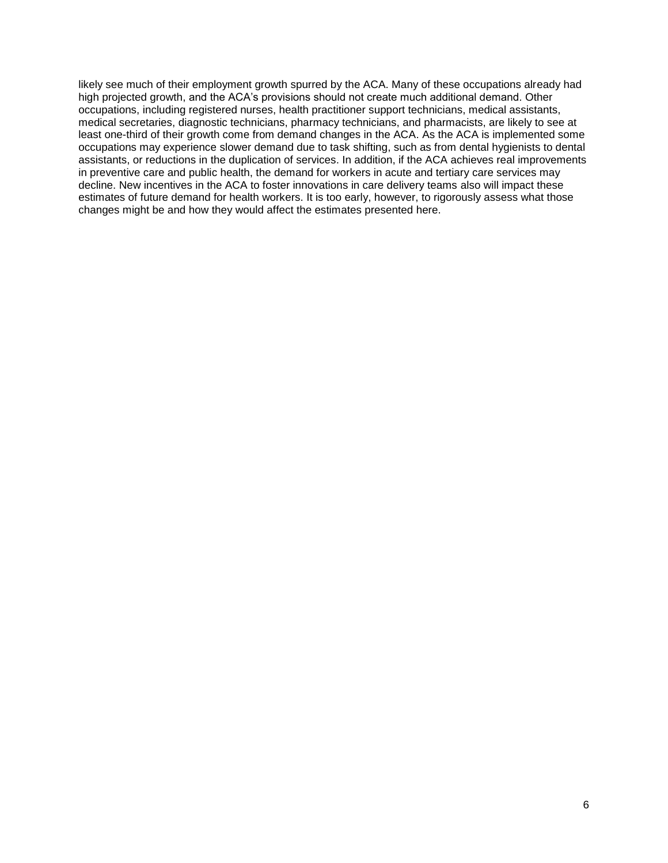likely see much of their employment growth spurred by the ACA. Many of these occupations already had high projected growth, and the ACA's provisions should not create much additional demand. Other occupations, including registered nurses, health practitioner support technicians, medical assistants, medical secretaries, diagnostic technicians, pharmacy technicians, and pharmacists, are likely to see at least one-third of their growth come from demand changes in the ACA. As the ACA is implemented some occupations may experience slower demand due to task shifting, such as from dental hygienists to dental assistants, or reductions in the duplication of services. In addition, if the ACA achieves real improvements in preventive care and public health, the demand for workers in acute and tertiary care services may decline. New incentives in the ACA to foster innovations in care delivery teams also will impact these estimates of future demand for health workers. It is too early, however, to rigorously assess what those changes might be and how they would affect the estimates presented here.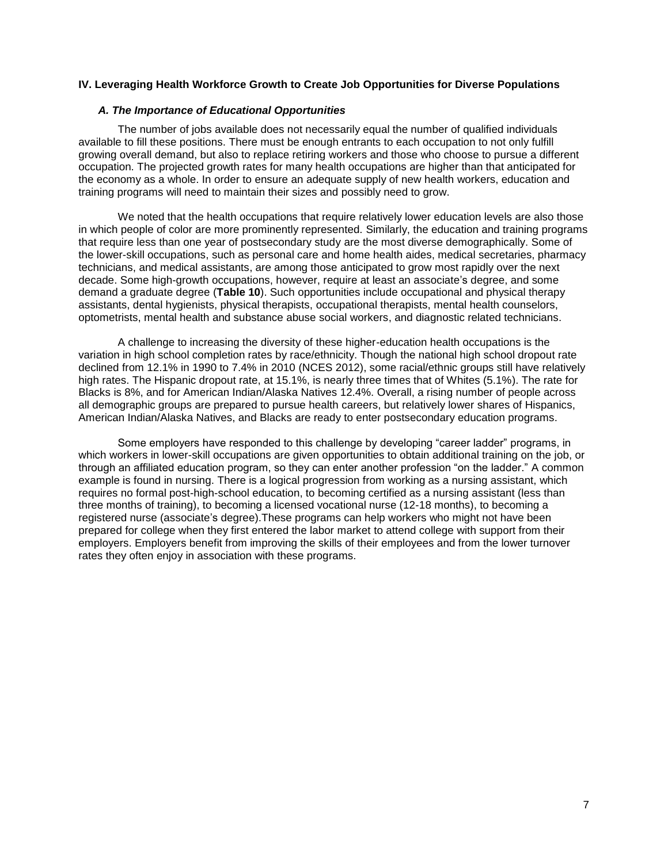# <span id="page-9-0"></span>**IV. Leveraging Health Workforce Growth to Create Job Opportunities for Diverse Populations**

#### *A. The Importance of Educational Opportunities*

<span id="page-9-1"></span>The number of jobs available does not necessarily equal the number of qualified individuals available to fill these positions. There must be enough entrants to each occupation to not only fulfill growing overall demand, but also to replace retiring workers and those who choose to pursue a different occupation. The projected growth rates for many health occupations are higher than that anticipated for the economy as a whole. In order to ensure an adequate supply of new health workers, education and training programs will need to maintain their sizes and possibly need to grow.

We noted that the health occupations that require relatively lower education levels are also those in which people of color are more prominently represented. Similarly, the education and training programs that require less than one year of postsecondary study are the most diverse demographically. Some of the lower-skill occupations, such as personal care and home health aides, medical secretaries, pharmacy technicians, and medical assistants, are among those anticipated to grow most rapidly over the next decade. Some high-growth occupations, however, require at least an associate's degree, and some demand a graduate degree (**Table 10**). Such opportunities include occupational and physical therapy assistants, dental hygienists, physical therapists, occupational therapists, mental health counselors, optometrists, mental health and substance abuse social workers, and diagnostic related technicians.

A challenge to increasing the diversity of these higher-education health occupations is the variation in high school completion rates by race/ethnicity. Though the national high school dropout rate declined from 12.1% in 1990 to 7.4% in 2010 (NCES 2012), some racial/ethnic groups still have relatively high rates. The Hispanic dropout rate, at 15.1%, is nearly three times that of Whites (5.1%). The rate for Blacks is 8%, and for American Indian/Alaska Natives 12.4%. Overall, a rising number of people across all demographic groups are prepared to pursue health careers, but relatively lower shares of Hispanics, American Indian/Alaska Natives, and Blacks are ready to enter postsecondary education programs.

Some employers have responded to this challenge by developing "career ladder" programs, in which workers in lower-skill occupations are given opportunities to obtain additional training on the job, or through an affiliated education program, so they can enter another profession "on the ladder." A common example is found in nursing. There is a logical progression from working as a nursing assistant, which requires no formal post-high-school education, to becoming certified as a nursing assistant (less than three months of training), to becoming a licensed vocational nurse (12-18 months), to becoming a registered nurse (associate's degree).These programs can help workers who might not have been prepared for college when they first entered the labor market to attend college with support from their employers. Employers benefit from improving the skills of their employees and from the lower turnover rates they often enjoy in association with these programs.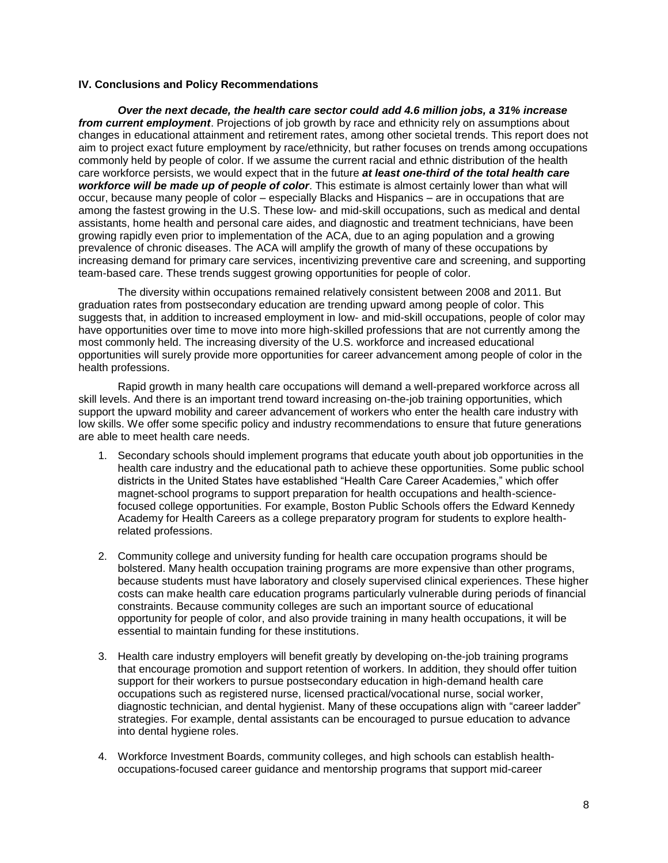# <span id="page-10-0"></span>**IV. Conclusions and Policy Recommendations**

*Over the next decade, the health care sector could add 4.6 million jobs, a 31% increase from current employment*. Projections of job growth by race and ethnicity rely on assumptions about changes in educational attainment and retirement rates, among other societal trends. This report does not aim to project exact future employment by race/ethnicity, but rather focuses on trends among occupations commonly held by people of color. If we assume the current racial and ethnic distribution of the health care workforce persists, we would expect that in the future *at least one-third of the total health care workforce will be made up of people of color*. This estimate is almost certainly lower than what will occur, because many people of color – especially Blacks and Hispanics – are in occupations that are among the fastest growing in the U.S. These low- and mid-skill occupations, such as medical and dental assistants, home health and personal care aides, and diagnostic and treatment technicians, have been growing rapidly even prior to implementation of the ACA, due to an aging population and a growing prevalence of chronic diseases. The ACA will amplify the growth of many of these occupations by increasing demand for primary care services, incentivizing preventive care and screening, and supporting team-based care. These trends suggest growing opportunities for people of color.

The diversity within occupations remained relatively consistent between 2008 and 2011. But graduation rates from postsecondary education are trending upward among people of color. This suggests that, in addition to increased employment in low- and mid-skill occupations, people of color may have opportunities over time to move into more high-skilled professions that are not currently among the most commonly held. The increasing diversity of the U.S. workforce and increased educational opportunities will surely provide more opportunities for career advancement among people of color in the health professions.

Rapid growth in many health care occupations will demand a well-prepared workforce across all skill levels. And there is an important trend toward increasing on-the-job training opportunities, which support the upward mobility and career advancement of workers who enter the health care industry with low skills. We offer some specific policy and industry recommendations to ensure that future generations are able to meet health care needs.

- 1. Secondary schools should implement programs that educate youth about job opportunities in the health care industry and the educational path to achieve these opportunities. Some public school districts in the United States have established "Health Care Career Academies," which offer magnet-school programs to support preparation for health occupations and health-sciencefocused college opportunities. For example, Boston Public Schools offers the Edward Kennedy Academy for Health Careers as a college preparatory program for students to explore healthrelated professions.
- 2. Community college and university funding for health care occupation programs should be bolstered. Many health occupation training programs are more expensive than other programs, because students must have laboratory and closely supervised clinical experiences. These higher costs can make health care education programs particularly vulnerable during periods of financial constraints. Because community colleges are such an important source of educational opportunity for people of color, and also provide training in many health occupations, it will be essential to maintain funding for these institutions.
- 3. Health care industry employers will benefit greatly by developing on-the-job training programs that encourage promotion and support retention of workers. In addition, they should offer tuition support for their workers to pursue postsecondary education in high-demand health care occupations such as registered nurse, licensed practical/vocational nurse, social worker, diagnostic technician, and dental hygienist. Many of these occupations align with "career ladder" strategies. For example, dental assistants can be encouraged to pursue education to advance into dental hygiene roles.
- 4. Workforce Investment Boards, community colleges, and high schools can establish healthoccupations-focused career guidance and mentorship programs that support mid-career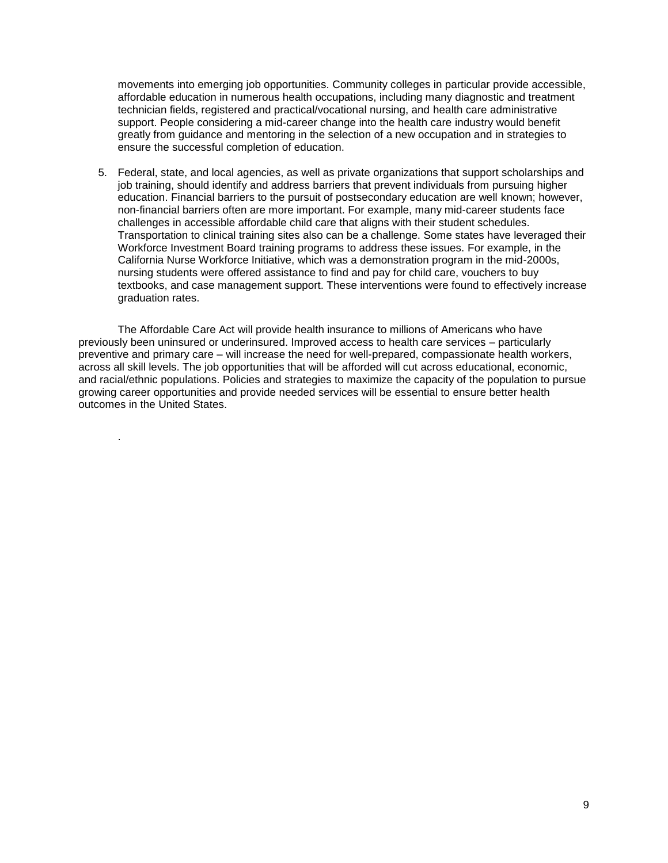movements into emerging job opportunities. Community colleges in particular provide accessible, affordable education in numerous health occupations, including many diagnostic and treatment technician fields, registered and practical/vocational nursing, and health care administrative support. People considering a mid-career change into the health care industry would benefit greatly from guidance and mentoring in the selection of a new occupation and in strategies to ensure the successful completion of education.

5. Federal, state, and local agencies, as well as private organizations that support scholarships and job training, should identify and address barriers that prevent individuals from pursuing higher education. Financial barriers to the pursuit of postsecondary education are well known; however, non-financial barriers often are more important. For example, many mid-career students face challenges in accessible affordable child care that aligns with their student schedules. Transportation to clinical training sites also can be a challenge. Some states have leveraged their Workforce Investment Board training programs to address these issues. For example, in the California Nurse Workforce Initiative, which was a demonstration program in the mid-2000s, nursing students were offered assistance to find and pay for child care, vouchers to buy textbooks, and case management support. These interventions were found to effectively increase graduation rates.

The Affordable Care Act will provide health insurance to millions of Americans who have previously been uninsured or underinsured. Improved access to health care services – particularly preventive and primary care – will increase the need for well-prepared, compassionate health workers, across all skill levels. The job opportunities that will be afforded will cut across educational, economic, and racial/ethnic populations. Policies and strategies to maximize the capacity of the population to pursue growing career opportunities and provide needed services will be essential to ensure better health outcomes in the United States.

.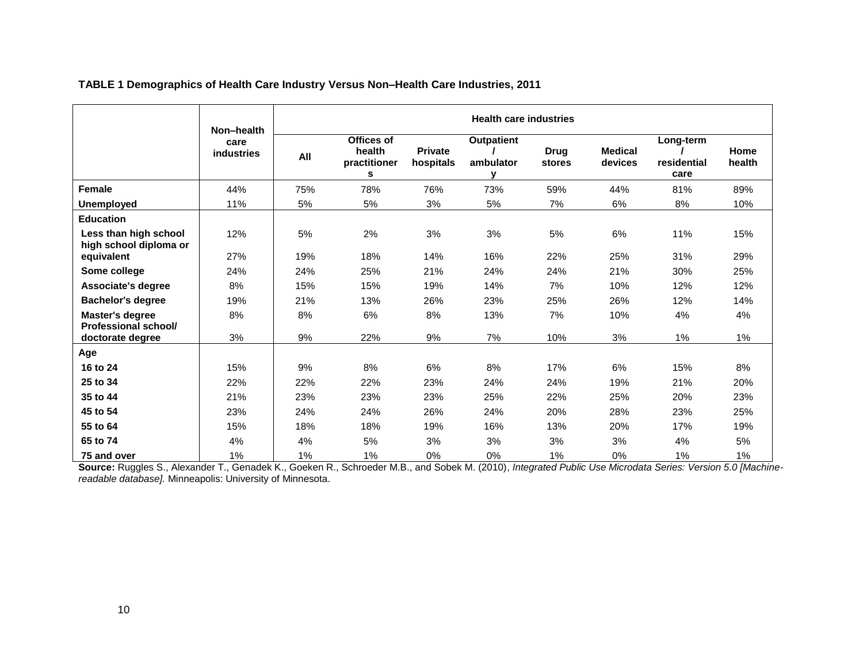<span id="page-12-0"></span>

|                                                 | Non-health                | <b>Health care industries</b> |                                           |                             |                                |                       |                           |                                  |                |  |  |
|-------------------------------------------------|---------------------------|-------------------------------|-------------------------------------------|-----------------------------|--------------------------------|-----------------------|---------------------------|----------------------------------|----------------|--|--|
|                                                 | care<br><b>industries</b> | All                           | Offices of<br>health<br>practitioner<br>s | <b>Private</b><br>hospitals | <b>Outpatient</b><br>ambulator | <b>Drug</b><br>stores | <b>Medical</b><br>devices | Long-term<br>residential<br>care | Home<br>health |  |  |
| Female                                          | 44%                       | 75%                           | 78%                                       | 76%                         | 73%                            | 59%                   | 44%                       | 81%                              | 89%            |  |  |
| <b>Unemployed</b>                               | 11%                       | 5%                            | 5%                                        | 3%                          | 5%                             | 7%                    | 6%                        | 8%                               | 10%            |  |  |
| <b>Education</b>                                |                           |                               |                                           |                             |                                |                       |                           |                                  |                |  |  |
| Less than high school<br>high school diploma or | 12%                       | 5%                            | 2%                                        | 3%                          | 3%                             | 5%                    | 6%                        | 11%                              | 15%            |  |  |
| equivalent                                      | 27%                       | 19%                           | 18%                                       | 14%                         | 16%                            | 22%                   | 25%                       | 31%                              | 29%            |  |  |
| Some college                                    | 24%                       | 24%                           | 25%                                       | 21%                         | 24%                            | 24%                   | 21%                       | 30%                              | 25%            |  |  |
| Associate's degree                              | 8%                        | 15%                           | 15%                                       | 19%                         | 14%                            | 7%                    | 10%                       | 12%                              | 12%            |  |  |
| <b>Bachelor's degree</b>                        | 19%                       | 21%                           | 13%                                       | 26%                         | 23%                            | 25%                   | 26%                       | 12%                              | 14%            |  |  |
| Master's degree<br>Professional school/         | 8%                        | 8%                            | 6%                                        | 8%                          | 13%                            | 7%                    | 10%                       | 4%                               | 4%             |  |  |
| doctorate degree                                | 3%                        | 9%                            | 22%                                       | 9%                          | 7%                             | 10%                   | 3%                        | 1%                               | 1%             |  |  |
| Age                                             |                           |                               |                                           |                             |                                |                       |                           |                                  |                |  |  |
| 16 to 24                                        | 15%                       | 9%                            | 8%                                        | 6%                          | 8%                             | 17%                   | 6%                        | 15%                              | 8%             |  |  |
| 25 to 34                                        | 22%                       | 22%                           | 22%                                       | 23%                         | 24%                            | 24%                   | 19%                       | 21%                              | 20%            |  |  |
| 35 to 44                                        | 21%                       | 23%                           | 23%                                       | 23%                         | 25%                            | 22%                   | 25%                       | 20%                              | 23%            |  |  |
| 45 to 54                                        | 23%                       | 24%                           | 24%                                       | 26%                         | 24%                            | 20%                   | 28%                       | 23%                              | 25%            |  |  |
| 55 to 64                                        | 15%                       | 18%                           | 18%                                       | 19%                         | 16%                            | 13%                   | 20%                       | 17%                              | 19%            |  |  |
| 65 to 74                                        | 4%                        | 4%                            | 5%                                        | 3%                          | 3%                             | 3%                    | 3%                        | 4%                               | 5%             |  |  |
| 75 and over                                     | 1%                        | 1%                            | 1%                                        | 0%                          | 0%                             | 1%                    | 0%                        | 1%                               | 1%             |  |  |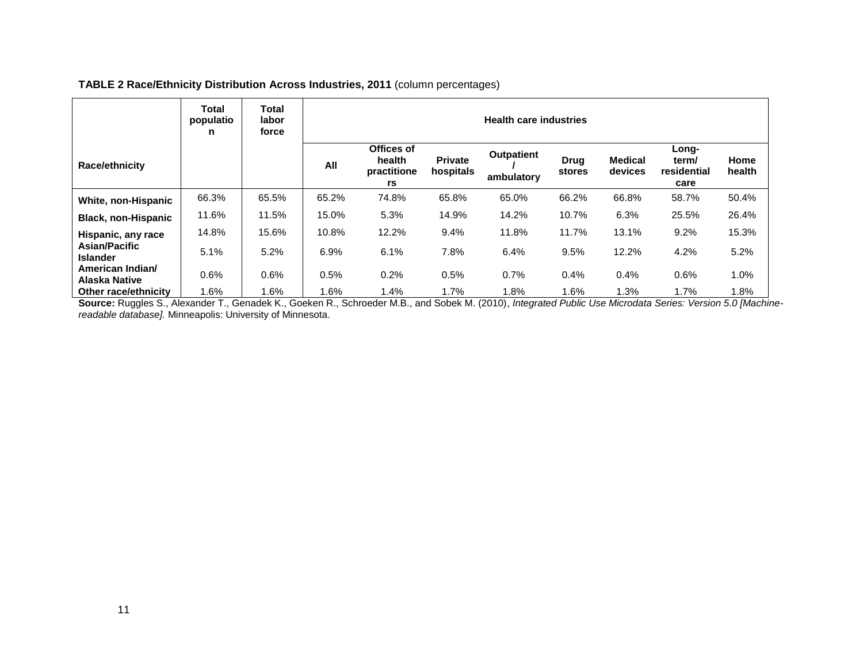# **TABLE 2 Race/Ethnicity Distribution Across Industries, 2011** (column percentages)

<span id="page-13-0"></span>

|                                   | Total<br>populatio<br>n | Total<br>labor<br>force | <b>Health care industries</b> |                                           |                             |                                 |                       |                           |                                       |                |  |
|-----------------------------------|-------------------------|-------------------------|-------------------------------|-------------------------------------------|-----------------------------|---------------------------------|-----------------------|---------------------------|---------------------------------------|----------------|--|
| Race/ethnicity                    |                         |                         | All                           | Offices of<br>health<br>practitione<br>rs | <b>Private</b><br>hospitals | <b>Outpatient</b><br>ambulatory | <b>Drug</b><br>stores | <b>Medical</b><br>devices | Long-<br>term/<br>residential<br>care | Home<br>health |  |
| White, non-Hispanic               | 66.3%                   | 65.5%                   | 65.2%                         | 74.8%                                     | 65.8%                       | 65.0%                           | 66.2%                 | 66.8%                     | 58.7%                                 | 50.4%          |  |
| <b>Black, non-Hispanic</b>        | 11.6%                   | 11.5%                   | 15.0%                         | 5.3%                                      | 14.9%                       | 14.2%                           | 10.7%                 | 6.3%                      | 25.5%                                 | 26.4%          |  |
| Hispanic, any race                | 14.8%                   | 15.6%                   | 10.8%                         | 12.2%                                     | 9.4%                        | 11.8%                           | 11.7%                 | 13.1%                     | 9.2%                                  | 15.3%          |  |
| Asian/Pacific<br><b>Islander</b>  | 5.1%                    | 5.2%                    | 6.9%                          | 6.1%                                      | 7.8%                        | 6.4%                            | 9.5%                  | 12.2%                     | 4.2%                                  | 5.2%           |  |
| American Indian/<br>Alaska Native | 0.6%                    | 0.6%                    | 0.5%                          | 0.2%                                      | 0.5%                        | 0.7%                            | 0.4%                  | 0.4%                      | 0.6%                                  | 1.0%           |  |
| Other race/ethnicity              | 1.6%                    | 1.6%                    | .6%                           | 1.4%                                      | 1.7%                        | 1.8%                            | 1.6%                  | 1.3%                      | 1.7%                                  | 1.8%           |  |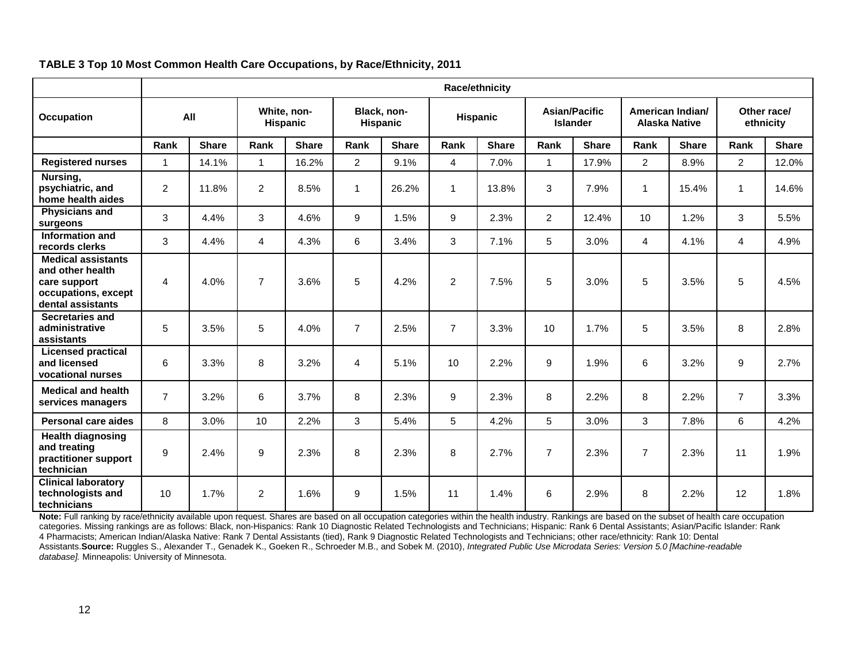<span id="page-14-0"></span>

|                                                                                                           |                         | <b>Race/ethnicity</b> |                |                                |                |                                |                |              |                |                                  |                  |                      |                          |              |
|-----------------------------------------------------------------------------------------------------------|-------------------------|-----------------------|----------------|--------------------------------|----------------|--------------------------------|----------------|--------------|----------------|----------------------------------|------------------|----------------------|--------------------------|--------------|
| <b>Occupation</b>                                                                                         | All                     |                       |                | White, non-<br><b>Hispanic</b> |                | Black, non-<br><b>Hispanic</b> |                | Hispanic     |                | Asian/Pacific<br><b>Islander</b> | American Indian/ | <b>Alaska Native</b> | Other race/<br>ethnicity |              |
|                                                                                                           | Rank                    | <b>Share</b>          | Rank           | <b>Share</b>                   | Rank           | <b>Share</b>                   | Rank           | <b>Share</b> | Rank           | <b>Share</b>                     | Rank             | <b>Share</b>         | Rank                     | <b>Share</b> |
| <b>Registered nurses</b>                                                                                  | $\overline{\mathbf{1}}$ | 14.1%                 | $\mathbf{1}$   | 16.2%                          | $\overline{2}$ | 9.1%                           | 4              | 7.0%         | $\mathbf{1}$   | 17.9%                            | $\overline{2}$   | 8.9%                 | $\overline{2}$           | 12.0%        |
| Nursing,<br>psychiatric, and<br>home health aides                                                         | $\overline{2}$          | 11.8%                 | $\overline{2}$ | 8.5%                           | 1              | 26.2%                          | 1              | 13.8%        | 3              | 7.9%                             | 1                | 15.4%                | 1                        | 14.6%        |
| <b>Physicians and</b><br>surgeons                                                                         | 3                       | 4.4%                  | 3              | 4.6%                           | 9              | 1.5%                           | 9              | 2.3%         | 2              | 12.4%                            | 10               | 1.2%                 | 3                        | 5.5%         |
| Information and<br>records clerks                                                                         | 3                       | 4.4%                  | 4              | 4.3%                           | 6              | 3.4%                           | 3              | 7.1%         | 5              | 3.0%                             | $\overline{4}$   | 4.1%                 | 4                        | 4.9%         |
| <b>Medical assistants</b><br>and other health<br>care support<br>occupations, except<br>dental assistants | 4                       | 4.0%                  | $\overline{7}$ | 3.6%                           | 5              | 4.2%                           | $\overline{c}$ | 7.5%         | 5              | 3.0%                             | 5                | 3.5%                 | 5                        | 4.5%         |
| Secretaries and<br>administrative<br>assistants                                                           | 5                       | 3.5%                  | 5              | 4.0%                           | $\overline{7}$ | 2.5%                           | 7              | 3.3%         | 10             | 1.7%                             | 5                | 3.5%                 | 8                        | 2.8%         |
| <b>Licensed practical</b><br>and licensed<br>vocational nurses                                            | 6                       | 3.3%                  | 8              | 3.2%                           | 4              | 5.1%                           | 10             | 2.2%         | 9              | 1.9%                             | 6                | 3.2%                 | 9                        | 2.7%         |
| <b>Medical and health</b><br>services managers                                                            | $\overline{7}$          | 3.2%                  | 6              | 3.7%                           | 8              | 2.3%                           | 9              | 2.3%         | 8              | 2.2%                             | 8                | 2.2%                 | $\overline{7}$           | 3.3%         |
| Personal care aides                                                                                       | 8                       | 3.0%                  | 10             | 2.2%                           | 3              | 5.4%                           | 5              | 4.2%         | 5              | 3.0%                             | 3                | 7.8%                 | 6                        | 4.2%         |
| <b>Health diagnosing</b><br>and treating<br>practitioner support<br>technician                            | 9                       | 2.4%                  | 9              | 2.3%                           | 8              | 2.3%                           | 8              | 2.7%         | $\overline{7}$ | 2.3%                             | $\overline{7}$   | 2.3%                 | 11                       | 1.9%         |
| <b>Clinical laboratory</b><br>technologists and<br>technicians                                            | 10                      | 1.7%                  | $\overline{2}$ | 1.6%                           | 9              | 1.5%                           | 11             | 1.4%         | 6              | 2.9%                             | 8                | 2.2%                 | 12                       | 1.8%         |

# **TABLE 3 Top 10 Most Common Health Care Occupations, by Race/Ethnicity, 2011**

Note: Full ranking by race/ethnicity available upon request. Shares are based on all occupation categories within the health industry. Rankings are based on the subset of health care occupation categories. Missing rankings are as follows: Black, non-Hispanics: Rank 10 Diagnostic Related Technologists and Technicians; Hispanic: Rank 6 Dental Assistants; Asian/Pacific Islander: Rank 4 Pharmacists; American Indian/Alaska Native: Rank 7 Dental Assistants (tied), Rank 9 Diagnostic Related Technologists and Technicians; other race/ethnicity: Rank 10: Dental Assistants.**Source:** Ruggles S., Alexander T., Genadek K., Goeken R., Schroeder M.B., and Sobek M. (2010), *Integrated Public Use Microdata Series: Version 5.0 [Machine-readable database].* Minneapolis: University of Minnesota.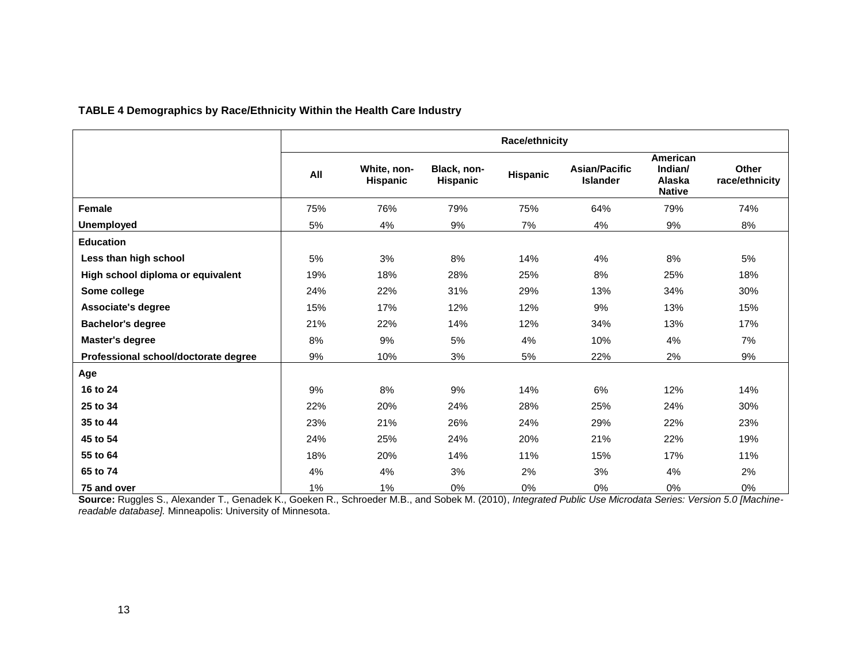# **TABLE 4 Demographics by Race/Ethnicity Within the Health Care Industry**

<span id="page-15-0"></span>

|                                      |     |                         |                         | Race/ethnicity |                                         |                                                |                         |
|--------------------------------------|-----|-------------------------|-------------------------|----------------|-----------------------------------------|------------------------------------------------|-------------------------|
|                                      | All | White, non-<br>Hispanic | Black, non-<br>Hispanic | Hispanic       | <b>Asian/Pacific</b><br><b>Islander</b> | American<br>Indian/<br>Alaska<br><b>Native</b> | Other<br>race/ethnicity |
| Female                               | 75% | 76%                     | 79%                     | 75%            | 64%                                     | 79%                                            | 74%                     |
| <b>Unemployed</b>                    | 5%  | 4%                      | 9%                      | 7%             | 4%                                      | 9%                                             | 8%                      |
| <b>Education</b>                     |     |                         |                         |                |                                         |                                                |                         |
| Less than high school                | 5%  | 3%                      | 8%                      | 14%            | 4%                                      | 8%                                             | 5%                      |
| High school diploma or equivalent    | 19% | 18%                     | 28%                     | 25%            | 8%                                      | 25%                                            | 18%                     |
| Some college                         | 24% | 22%                     | 31%                     | 29%            | 13%                                     | 34%                                            | 30%                     |
| Associate's degree                   | 15% | 17%                     | 12%                     | 12%            | 9%                                      | 13%                                            | 15%                     |
| <b>Bachelor's degree</b>             | 21% | 22%                     | 14%                     | 12%            | 34%                                     | 13%                                            | 17%                     |
| <b>Master's degree</b>               | 8%  | 9%                      | 5%                      | 4%             | 10%                                     | 4%                                             | 7%                      |
| Professional school/doctorate degree | 9%  | 10%                     | 3%                      | 5%             | 22%                                     | 2%                                             | 9%                      |
| Age                                  |     |                         |                         |                |                                         |                                                |                         |
| 16 to 24                             | 9%  | 8%                      | 9%                      | 14%            | 6%                                      | 12%                                            | 14%                     |
| 25 to 34                             | 22% | 20%                     | 24%                     | 28%            | 25%                                     | 24%                                            | 30%                     |
| 35 to 44                             | 23% | 21%                     | 26%                     | 24%            | 29%                                     | 22%                                            | 23%                     |
| 45 to 54                             | 24% | 25%                     | 24%                     | 20%            | 21%                                     | 22%                                            | 19%                     |
| 55 to 64                             | 18% | 20%                     | 14%                     | 11%            | 15%                                     | 17%                                            | 11%                     |
| 65 to 74                             | 4%  | 4%                      | 3%                      | 2%             | 3%                                      | 4%                                             | 2%                      |
| 75 and over                          | 1%  | 1%                      | 0%                      | 0%             | 0%                                      | 0%                                             | 0%                      |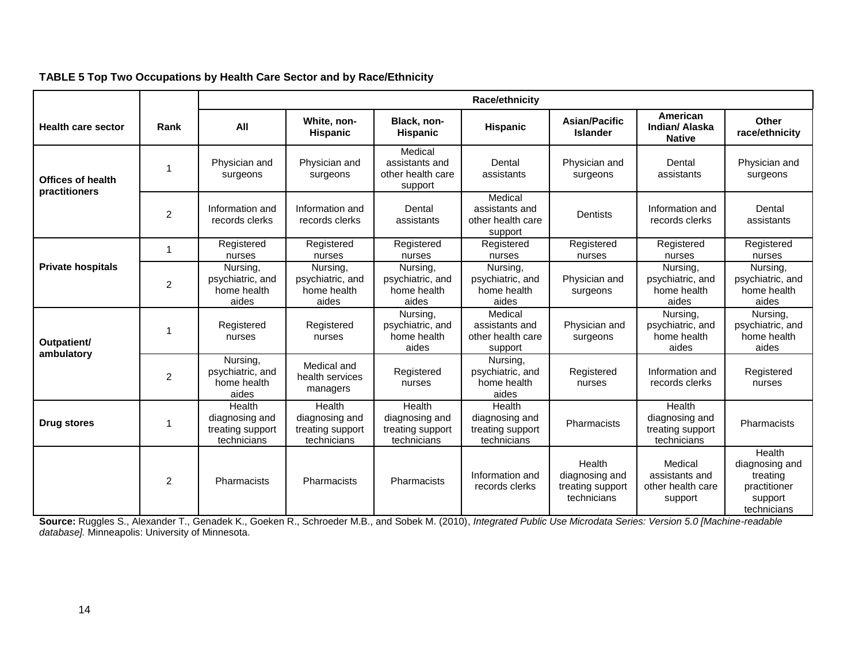<span id="page-16-0"></span>

|                                           |      |                                                             |                                                             |                                                             | Race/ethnicity                                              |                                                             |                                                             |                                                                                |
|-------------------------------------------|------|-------------------------------------------------------------|-------------------------------------------------------------|-------------------------------------------------------------|-------------------------------------------------------------|-------------------------------------------------------------|-------------------------------------------------------------|--------------------------------------------------------------------------------|
| <b>Health care sector</b>                 | Rank | All                                                         | White, non-<br><b>Hispanic</b>                              | Black, non-<br><b>Hispanic</b>                              | Hispanic                                                    | <b>Asian/Pacific</b><br><b>Islander</b>                     | American<br>Indian/ Alaska<br><b>Native</b>                 | Other<br>race/ethnicity                                                        |
| <b>Offices of health</b><br>practitioners |      | Physician and<br>surgeons                                   | Physician and<br>surgeons                                   | Medical<br>assistants and<br>other health care<br>support   | Dental<br>assistants                                        | Physician and<br>surgeons                                   | Dental<br>assistants                                        | Physician and<br>surgeons                                                      |
|                                           | 2    | Information and<br>records clerks                           | Information and<br>records clerks                           | Dental<br>assistants                                        | Medical<br>assistants and<br>other health care<br>support   | <b>Dentists</b>                                             | Information and<br>records clerks                           | Dental<br>assistants                                                           |
|                                           |      | Registered<br>nurses                                        | Registered<br>nurses                                        | Registered<br>nurses                                        | Registered<br>nurses                                        | Registered<br>nurses                                        | Registered<br>nurses                                        | Registered<br>nurses                                                           |
| <b>Private hospitals</b>                  | 2    | Nursing,<br>psychiatric, and<br>home health<br>aides        | Nursing,<br>psychiatric, and<br>home health<br>aides        | Nursing,<br>psychiatric, and<br>home health<br>aides        | Nursing,<br>psychiatric, and<br>home health<br>aides        | Physician and<br>surgeons                                   | Nursing,<br>psychiatric, and<br>home health<br>aides        | Nursing,<br>psychiatric, and<br>home health<br>aides                           |
| Outpatient/                               |      | Registered<br>nurses                                        | Registered<br>nurses                                        | Nursing,<br>psychiatric, and<br>home health<br>aides        | Medical<br>assistants and<br>other health care<br>support   | Physician and<br>surgeons                                   | Nursing,<br>psychiatric, and<br>home health<br>aides        | Nursing,<br>psychiatric, and<br>home health<br>aides                           |
| ambulatory                                | 2    | Nursing,<br>psychiatric, and<br>home health<br>aides        | Medical and<br>health services<br>managers                  | Registered<br>nurses                                        | Nursing,<br>psychiatric, and<br>home health<br>aides        | Registered<br>nurses                                        | Information and<br>records clerks                           | Registered<br>nurses                                                           |
| Drug stores                               |      | Health<br>diagnosing and<br>treating support<br>technicians | Health<br>diagnosing and<br>treating support<br>technicians | Health<br>diagnosing and<br>treating support<br>technicians | Health<br>diagnosing and<br>treating support<br>technicians | Pharmacists                                                 | Health<br>diagnosing and<br>treating support<br>technicians | <b>Pharmacists</b>                                                             |
|                                           | 2    | Pharmacists                                                 | Pharmacists                                                 | Pharmacists                                                 | Information and<br>records clerks                           | Health<br>diagnosing and<br>treating support<br>technicians | Medical<br>assistants and<br>other health care<br>support   | Health<br>diagnosing and<br>treating<br>practitioner<br>support<br>technicians |

# **TABLE 5 Top Two Occupations by Health Care Sector and by Race/Ethnicity**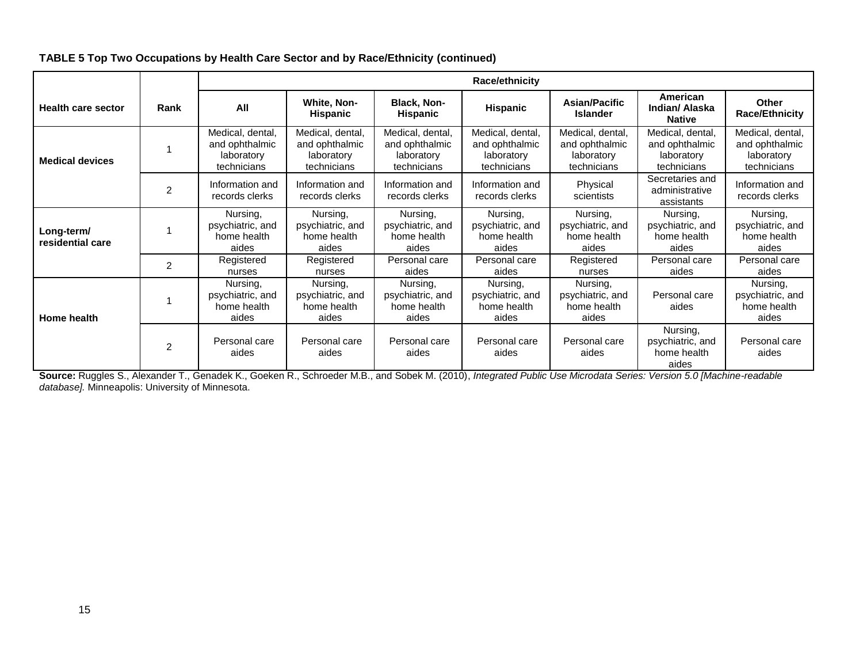|                                |      |                                                                 |                                                                 |                                                                 | <b>Race/ethnicity</b>                                           |                                                                 |                                                                 |                                                                 |
|--------------------------------|------|-----------------------------------------------------------------|-----------------------------------------------------------------|-----------------------------------------------------------------|-----------------------------------------------------------------|-----------------------------------------------------------------|-----------------------------------------------------------------|-----------------------------------------------------------------|
| <b>Health care sector</b>      | Rank | All                                                             | White, Non-<br><b>Hispanic</b>                                  | <b>Black, Non-</b><br>Hispanic                                  | <b>Hispanic</b>                                                 | <b>Asian/Pacific</b><br><b>Islander</b>                         | American<br>Indian/ Alaska<br><b>Native</b>                     | Other<br><b>Race/Ethnicity</b>                                  |
| <b>Medical devices</b>         |      | Medical, dental,<br>and ophthalmic<br>laboratory<br>technicians | Medical, dental,<br>and ophthalmic<br>laboratory<br>technicians | Medical, dental,<br>and ophthalmic<br>laboratory<br>technicians | Medical, dental,<br>and ophthalmic<br>laboratory<br>technicians | Medical, dental,<br>and ophthalmic<br>laboratory<br>technicians | Medical, dental,<br>and ophthalmic<br>laboratory<br>technicians | Medical, dental,<br>and ophthalmic<br>laboratory<br>technicians |
|                                | 2    | Information and<br>records clerks                               | Information and<br>records clerks                               | Information and<br>records clerks                               | Information and<br>records clerks                               | Physical<br>scientists                                          | Secretaries and<br>administrative<br>assistants                 | Information and<br>records clerks                               |
| Long-term/<br>residential care |      | Nursing,<br>psychiatric, and<br>home health<br>aides            | Nursing,<br>psychiatric, and<br>home health<br>aides            | Nursing.<br>psychiatric, and<br>home health<br>aides            | Nursing.<br>psychiatric, and<br>home health<br>aides            | Nursing,<br>psychiatric, and<br>home health<br>aides            | Nursing,<br>psychiatric, and<br>home health<br>aides            | Nursing,<br>psychiatric, and<br>home health<br>aides            |
|                                | 2    | Registered<br>nurses                                            | Registered<br>nurses                                            | Personal care<br>aides                                          | Personal care<br>aides                                          | Registered<br>nurses                                            | Personal care<br>aides                                          | Personal care<br>aides                                          |
| Home health                    |      | Nursing,<br>psychiatric, and<br>home health<br>aides            | Nursing,<br>psychiatric, and<br>home health<br>aides            | Nursing,<br>psychiatric, and<br>home health<br>aides            | Nursing,<br>psychiatric, and<br>home health<br>aides            | Nursing,<br>psychiatric, and<br>home health<br>aides            | Personal care<br>aides                                          | Nursing,<br>psychiatric, and<br>home health<br>aides            |
|                                | 2    | Personal care<br>aides                                          | Personal care<br>aides                                          | Personal care<br>aides                                          | Personal care<br>aides                                          | Personal care<br>aides                                          | Nursing,<br>psychiatric, and<br>home health<br>aides            | Personal care<br>aides                                          |

# **TABLE 5 Top Two Occupations by Health Care Sector and by Race/Ethnicity (continued)**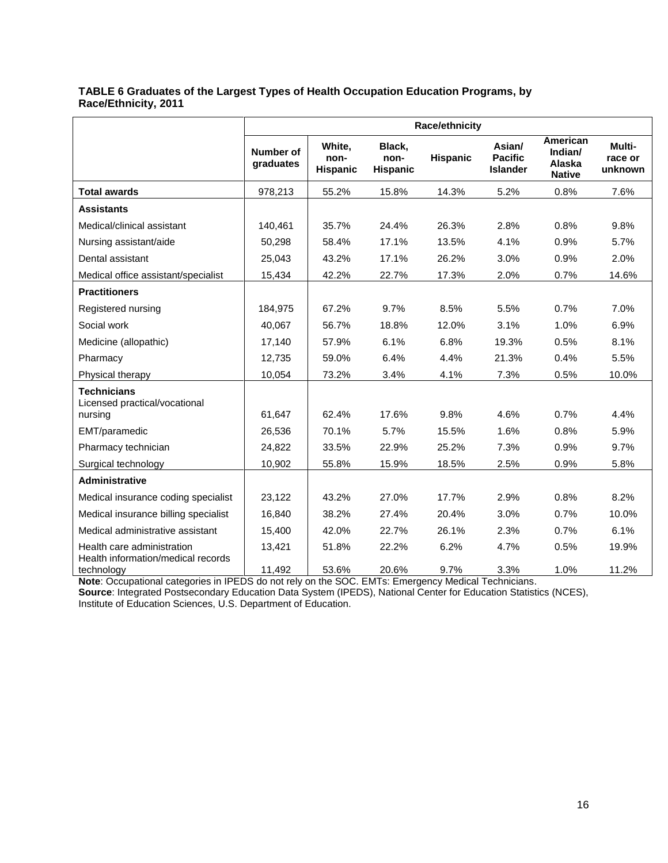# <span id="page-18-0"></span>**TABLE 6 Graduates of the Largest Types of Health Occupation Education Programs, by Race/Ethnicity, 2011**

|                                                                |                        |                                   |                                   | Race/ethnicity  |                                             |                                                |                              |
|----------------------------------------------------------------|------------------------|-----------------------------------|-----------------------------------|-----------------|---------------------------------------------|------------------------------------------------|------------------------------|
|                                                                | Number of<br>graduates | White,<br>non-<br><b>Hispanic</b> | Black.<br>non-<br><b>Hispanic</b> | <b>Hispanic</b> | Asian/<br><b>Pacific</b><br><b>Islander</b> | American<br>Indian/<br>Alaska<br><b>Native</b> | Multi-<br>race or<br>unknown |
| <b>Total awards</b>                                            | 978,213                | 55.2%                             | 15.8%                             | 14.3%           | 5.2%                                        | 0.8%                                           | 7.6%                         |
| <b>Assistants</b>                                              |                        |                                   |                                   |                 |                                             |                                                |                              |
| Medical/clinical assistant                                     | 140,461                | 35.7%                             | 24.4%                             | 26.3%           | 2.8%                                        | 0.8%                                           | 9.8%                         |
| Nursing assistant/aide                                         | 50,298                 | 58.4%                             | 17.1%                             | 13.5%           | 4.1%                                        | 0.9%                                           | 5.7%                         |
| Dental assistant                                               | 25.043                 | 43.2%                             | 17.1%                             | 26.2%           | 3.0%                                        | 0.9%                                           | 2.0%                         |
| Medical office assistant/specialist                            | 15,434                 | 42.2%                             | 22.7%                             | 17.3%           | 2.0%                                        | 0.7%                                           | 14.6%                        |
| <b>Practitioners</b>                                           |                        |                                   |                                   |                 |                                             |                                                |                              |
| Registered nursing                                             | 184,975                | 67.2%                             | 9.7%                              | 8.5%            | 5.5%                                        | 0.7%                                           | 7.0%                         |
| Social work                                                    | 40,067                 | 56.7%                             | 18.8%                             | 12.0%           | 3.1%                                        | 1.0%                                           | 6.9%                         |
| Medicine (allopathic)                                          | 17,140                 | 57.9%                             | 6.1%                              | 6.8%            | 19.3%                                       | 0.5%                                           | 8.1%                         |
| Pharmacy                                                       | 12,735                 | 59.0%                             | 6.4%                              | 4.4%            | 21.3%                                       | 0.4%                                           | 5.5%                         |
| Physical therapy                                               | 10,054                 | 73.2%                             | 3.4%                              | 4.1%            | 7.3%                                        | 0.5%                                           | 10.0%                        |
| <b>Technicians</b><br>Licensed practical/vocational<br>nursing | 61,647                 | 62.4%                             | 17.6%                             | 9.8%            | 4.6%                                        | 0.7%                                           | 4.4%                         |
| EMT/paramedic                                                  | 26,536                 | 70.1%                             | 5.7%                              | 15.5%           | 1.6%                                        | 0.8%                                           | 5.9%                         |
| Pharmacy technician                                            | 24,822                 | 33.5%                             | 22.9%                             | 25.2%           | 7.3%                                        | 0.9%                                           | 9.7%                         |
| Surgical technology                                            | 10,902                 | 55.8%                             | 15.9%                             | 18.5%           | 2.5%                                        | 0.9%                                           | 5.8%                         |
| <b>Administrative</b>                                          |                        |                                   |                                   |                 |                                             |                                                |                              |
| Medical insurance coding specialist                            | 23,122                 | 43.2%                             | 27.0%                             | 17.7%           | 2.9%                                        | 0.8%                                           | 8.2%                         |
| Medical insurance billing specialist                           | 16,840                 | 38.2%                             | 27.4%                             | 20.4%           | 3.0%                                        | 0.7%                                           | 10.0%                        |
| Medical administrative assistant                               | 15,400                 | 42.0%                             | 22.7%                             | 26.1%           | 2.3%                                        | 0.7%                                           | 6.1%                         |
| Health care administration                                     | 13,421                 | 51.8%                             | 22.2%                             | 6.2%            | 4.7%                                        | 0.5%                                           | 19.9%                        |
| Health information/medical records<br>technology               | 11,492                 | 53.6%                             | 20.6%                             | 9.7%            | 3.3%                                        | 1.0%                                           | 11.2%                        |

**Note**: Occupational categories in IPEDS do not rely on the SOC. EMTs: Emergency Medical Technicians. **Source**: Integrated Postsecondary Education Data System (IPEDS), National Center for Education Statistics (NCES),

Institute of Education Sciences, U.S. Department of Education.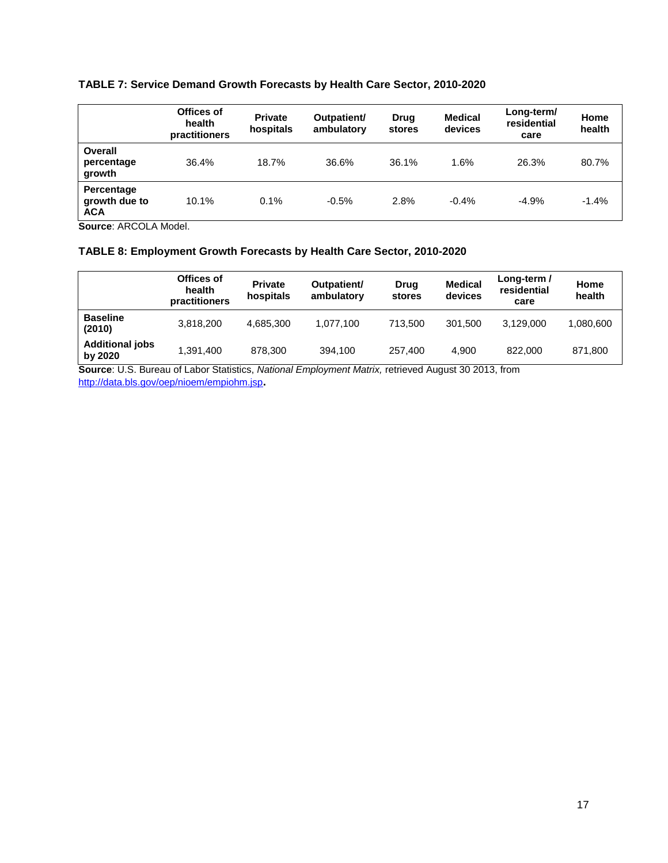# <span id="page-19-0"></span>**TABLE 7: Service Demand Growth Forecasts by Health Care Sector, 2010-2020**

|                                           | Offices of<br>health<br>practitioners | <b>Private</b><br>hospitals | Outpatient/<br>ambulatory | <b>Drug</b><br>stores | <b>Medical</b><br>devices | Long-term/<br>residential<br>care | Home<br>health |
|-------------------------------------------|---------------------------------------|-----------------------------|---------------------------|-----------------------|---------------------------|-----------------------------------|----------------|
| Overall<br>percentage<br>growth           | 36.4%                                 | 18.7%                       | 36.6%                     | 36.1%                 | 1.6%                      | 26.3%                             | 80.7%          |
| Percentage<br>growth due to<br><b>ACA</b> | 10.1%                                 | 0.1%                        | $-0.5%$                   | 2.8%                  | $-0.4%$                   | $-4.9%$                           | $-1.4%$        |

**Source**: ARCOLA Model.

# <span id="page-19-1"></span>**TABLE 8: Employment Growth Forecasts by Health Care Sector, 2010-2020**

|                                   | Offices of<br>health<br>practitioners | <b>Private</b><br>hospitals | Outpatient/<br>ambulatory | Drug<br>stores | <b>Medical</b><br>devices | Long-term /<br>residential<br>care | Home<br>health |
|-----------------------------------|---------------------------------------|-----------------------------|---------------------------|----------------|---------------------------|------------------------------------|----------------|
| <b>Baseline</b><br>(2010)         | 3,818,200                             | 4.685.300                   | 1.077.100                 | 713.500        | 301.500                   | 3.129.000                          | 1,080,600      |
| <b>Additional jobs</b><br>by 2020 | 1.391.400                             | 878.300                     | 394.100                   | 257.400        | 4.900                     | 822,000                            | 871,800        |

**Source**: U.S. Bureau of Labor Statistics, *National Employment Matrix,* retrieved August 30 2013, from <http://data.bls.gov/oep/nioem/empiohm.jsp>**.**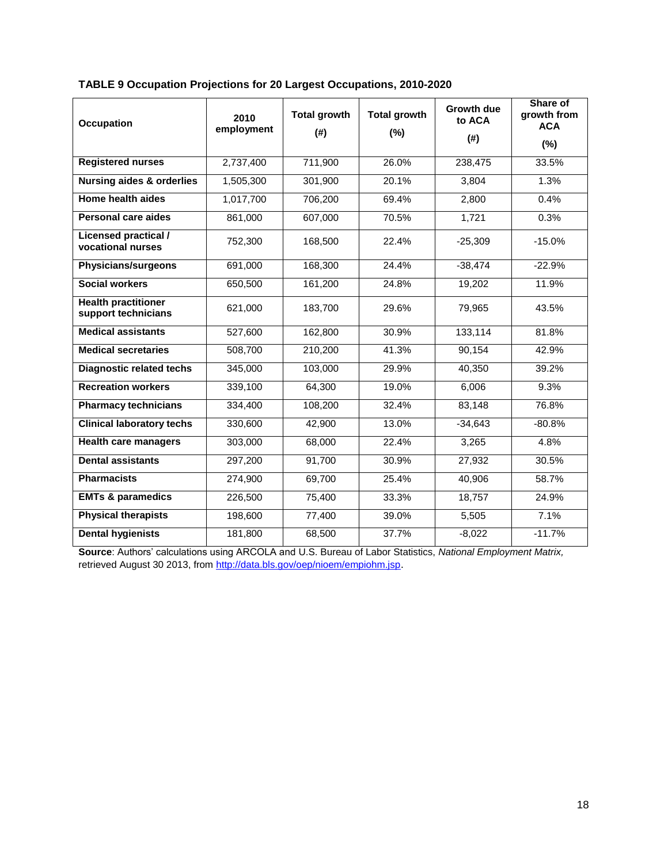| <b>Occupation</b>                                 | 2010<br>employment | <b>Total growth</b><br>(#) | <b>Total growth</b><br>(%) | <b>Growth due</b><br>to ACA<br>(#) | Share of<br>growth from<br><b>ACA</b> |
|---------------------------------------------------|--------------------|----------------------------|----------------------------|------------------------------------|---------------------------------------|
|                                                   |                    |                            |                            |                                    | $(\%)$                                |
| <b>Registered nurses</b>                          | 2,737,400          | 711,900                    | 26.0%                      | 238,475                            | 33.5%                                 |
| Nursing aides & orderlies                         | 1,505,300          | 301,900                    | 20.1%                      | 3,804                              | 1.3%                                  |
| Home health aides                                 | 1,017,700          | 706,200                    | 69.4%                      | 2,800                              | 0.4%                                  |
| Personal care aides                               | 861,000            | 607,000                    | 70.5%                      | 1,721                              | 0.3%                                  |
| <b>Licensed practical /</b><br>vocational nurses  | 752,300            | 168,500                    | 22.4%                      | $-25,309$                          | $-15.0%$                              |
| Physicians/surgeons                               | 691,000            | 168,300                    | 24.4%                      | $-38,474$                          | $-22.9%$                              |
| <b>Social workers</b>                             | 650,500            | 161,200                    | 24.8%                      | 19,202                             | 11.9%                                 |
| <b>Health practitioner</b><br>support technicians | 621,000            | 183,700                    | 29.6%                      | 79,965                             | 43.5%                                 |
| <b>Medical assistants</b>                         | 527,600            | 162,800                    | 30.9%                      | 133,114                            | 81.8%                                 |
| <b>Medical secretaries</b>                        | 508,700            | 210,200                    | 41.3%                      | 90,154                             | 42.9%                                 |
| <b>Diagnostic related techs</b>                   | 345,000            | 103,000                    | 29.9%                      | 40,350                             | 39.2%                                 |
| <b>Recreation workers</b>                         | 339,100            | 64,300                     | 19.0%                      | 6,006                              | 9.3%                                  |
| <b>Pharmacy technicians</b>                       | 334,400            | 108,200                    | 32.4%                      | 83,148                             | 76.8%                                 |
| <b>Clinical laboratory techs</b>                  | 330,600            | 42,900                     | 13.0%                      | $-34,643$                          | $-80.8%$                              |
| <b>Health care managers</b>                       | 303,000            | 68,000                     | 22.4%                      | 3,265                              | 4.8%                                  |
| <b>Dental assistants</b>                          | 297,200            | 91,700                     | 30.9%                      | 27,932                             | 30.5%                                 |
| <b>Pharmacists</b>                                | 274,900            | 69,700                     | 25.4%                      | 40,906                             | 58.7%                                 |
| <b>EMTs &amp; paramedics</b>                      | 226,500            | 75,400                     | 33.3%                      | 18,757                             | 24.9%                                 |
| <b>Physical therapists</b>                        | 198,600            | 77,400                     | 39.0%                      | 5,505                              | 7.1%                                  |
| <b>Dental hygienists</b>                          | 181,800            | 68,500                     | 37.7%                      | $-8,022$                           | $-11.7%$                              |

# <span id="page-20-0"></span>**TABLE 9 Occupation Projections for 20 Largest Occupations, 2010-2020**

**Source**: Authors' calculations using ARCOLA and U.S. Bureau of Labor Statistics, *National Employment Matrix,* retrieved August 30 2013, from<http://data.bls.gov/oep/nioem/empiohm.jsp>.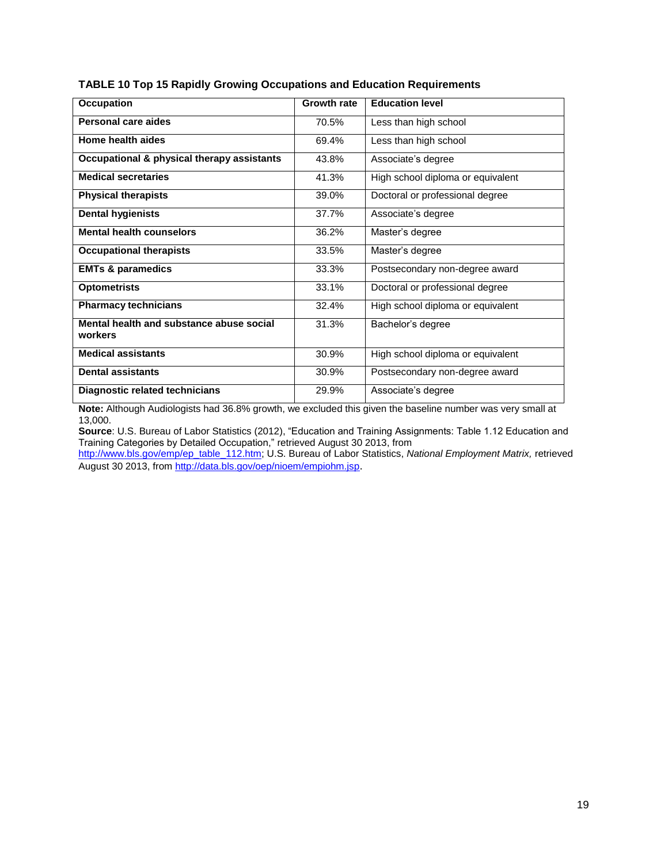| <b>Occupation</b>                          | <b>Growth rate</b> | <b>Education level</b>            |
|--------------------------------------------|--------------------|-----------------------------------|
| Personal care aides                        | 70.5%              |                                   |
|                                            |                    | Less than high school             |
| Home health aides                          | 69.4%              | Less than high school             |
|                                            |                    |                                   |
| Occupational & physical therapy assistants | 43.8%              | Associate's degree                |
| <b>Medical secretaries</b>                 |                    |                                   |
|                                            | 41.3%              | High school diploma or equivalent |
| <b>Physical therapists</b>                 | 39.0%              | Doctoral or professional degree   |
|                                            |                    |                                   |
| <b>Dental hygienists</b>                   | 37.7%              | Associate's degree                |
|                                            |                    |                                   |
| <b>Mental health counselors</b>            | 36.2%              | Master's degree                   |
| <b>Occupational therapists</b>             | 33.5%              | Master's degree                   |
|                                            |                    |                                   |
| <b>EMTs &amp; paramedics</b>               | 33.3%              | Postsecondary non-degree award    |
|                                            |                    |                                   |
| <b>Optometrists</b>                        | 33.1%              | Doctoral or professional degree   |
| <b>Pharmacy technicians</b>                | 32.4%              |                                   |
|                                            |                    | High school diploma or equivalent |
| Mental health and substance abuse social   | 31.3%              | Bachelor's degree                 |
| workers                                    |                    |                                   |
|                                            |                    |                                   |
| <b>Medical assistants</b>                  | 30.9%              | High school diploma or equivalent |
|                                            |                    |                                   |
| <b>Dental assistants</b>                   | 30.9%              | Postsecondary non-degree award    |
| Diagnostic related technicians             | 29.9%              | Associate's degree                |
|                                            |                    |                                   |

# <span id="page-21-0"></span>**TABLE 10 Top 15 Rapidly Growing Occupations and Education Requirements**

**Note:** Although Audiologists had 36.8% growth, we excluded this given the baseline number was very small at 13,000.

**Source**: U.S. Bureau of Labor Statistics (2012), "Education and Training Assignments: Table 1.12 Education and Training Categories by Detailed Occupation," retrieved August 30 2013, from

[http://www.bls.gov/emp/ep\\_table\\_112.htm;](http://www.bls.gov/emp/ep_table_112.htm) U.S. Bureau of Labor Statistics, *National Employment Matrix,* retrieved August 30 2013, fro[m http://data.bls.gov/oep/nioem/empiohm.jsp](http://data.bls.gov/oep/nioem/empiohm.jsp).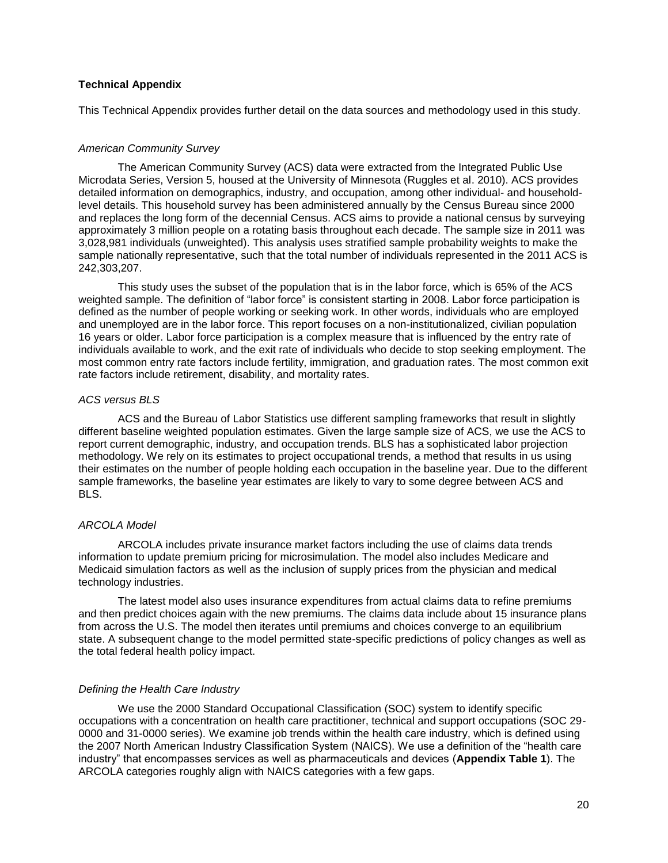## <span id="page-22-0"></span>**Technical Appendix**

This Technical Appendix provides further detail on the data sources and methodology used in this study.

#### *American Community Survey*

The American Community Survey (ACS) data were extracted from the Integrated Public Use Microdata Series, Version 5, housed at the University of Minnesota (Ruggles et al. 2010). ACS provides detailed information on demographics, industry, and occupation, among other individual- and householdlevel details. This household survey has been administered annually by the Census Bureau since 2000 and replaces the long form of the decennial Census. ACS aims to provide a national census by surveying approximately 3 million people on a rotating basis throughout each decade. The sample size in 2011 was 3,028,981 individuals (unweighted). This analysis uses stratified sample probability weights to make the sample nationally representative, such that the total number of individuals represented in the 2011 ACS is 242,303,207.

This study uses the subset of the population that is in the labor force, which is 65% of the ACS weighted sample. The definition of "labor force" is consistent starting in 2008. Labor force participation is defined as the number of people working or seeking work. In other words, individuals who are employed and unemployed are in the labor force. This report focuses on a non-institutionalized, civilian population 16 years or older. Labor force participation is a complex measure that is influenced by the entry rate of individuals available to work, and the exit rate of individuals who decide to stop seeking employment. The most common entry rate factors include fertility, immigration, and graduation rates. The most common exit rate factors include retirement, disability, and mortality rates.

#### *ACS versus BLS*

ACS and the Bureau of Labor Statistics use different sampling frameworks that result in slightly different baseline weighted population estimates. Given the large sample size of ACS, we use the ACS to report current demographic, industry, and occupation trends. BLS has a sophisticated labor projection methodology. We rely on its estimates to project occupational trends, a method that results in us using their estimates on the number of people holding each occupation in the baseline year. Due to the different sample frameworks, the baseline year estimates are likely to vary to some degree between ACS and BLS.

#### *ARCOLA Model*

ARCOLA includes private insurance market factors including the use of claims data trends information to update premium pricing for microsimulation. The model also includes Medicare and Medicaid simulation factors as well as the inclusion of supply prices from the physician and medical technology industries.

The latest model also uses insurance expenditures from actual claims data to refine premiums and then predict choices again with the new premiums. The claims data include about 15 insurance plans from across the U.S. The model then iterates until premiums and choices converge to an equilibrium state. A subsequent change to the model permitted state-specific predictions of policy changes as well as the total federal health policy impact.

## *Defining the Health Care Industry*

We use the 2000 Standard Occupational Classification (SOC) system to identify specific occupations with a concentration on health care practitioner, technical and support occupations (SOC 29- 0000 and 31-0000 series). We examine job trends within the health care industry, which is defined using the 2007 North American Industry Classification System (NAICS). We use a definition of the "health care industry" that encompasses services as well as pharmaceuticals and devices (**Appendix Table 1**). The ARCOLA categories roughly align with NAICS categories with a few gaps.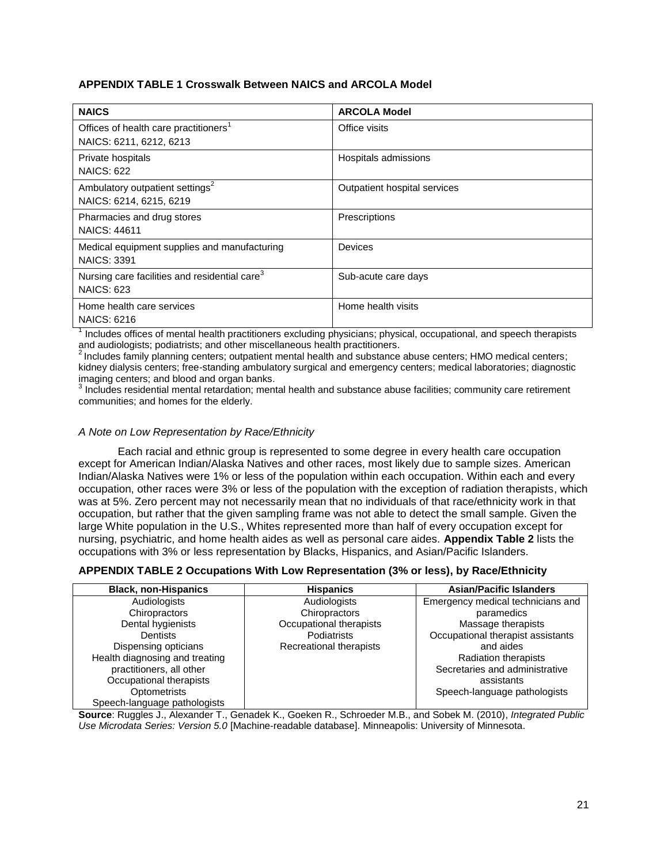# **APPENDIX TABLE 1 Crosswalk Between NAICS and ARCOLA Model**

| <b>NAICS</b>                                              | <b>ARCOLA Model</b>          |
|-----------------------------------------------------------|------------------------------|
| Offices of health care practitioners <sup>1</sup>         | Office visits                |
| NAICS: 6211, 6212, 6213                                   |                              |
| Private hospitals<br><b>NAICS: 622</b>                    | Hospitals admissions         |
|                                                           |                              |
| Ambulatory outpatient settings <sup>2</sup>               | Outpatient hospital services |
| NAICS: 6214, 6215, 6219                                   |                              |
| Pharmacies and drug stores                                | Prescriptions                |
| <b>NAICS: 44611</b>                                       |                              |
| Medical equipment supplies and manufacturing              | <b>Devices</b>               |
| <b>NAICS: 3391</b>                                        |                              |
| Nursing care facilities and residential care <sup>3</sup> | Sub-acute care days          |
| <b>NAICS: 623</b>                                         |                              |
| Home health care services                                 | Home health visits           |
| <b>NAICS: 6216</b>                                        |                              |

1 Includes offices of mental health practitioners excluding physicians; physical, occupational, and speech therapists and audiologists; podiatrists; and other miscellaneous health practitioners.

2Includes family planning centers; outpatient mental health and substance abuse centers; HMO medical centers; kidney dialysis centers; free-standing ambulatory surgical and emergency centers; medical laboratories; diagnostic imaging centers; and blood and organ banks.

<sup>3</sup> Includes residential mental retardation; mental health and substance abuse facilities; community care retirement communities; and homes for the elderly.

## *A Note on Low Representation by Race/Ethnicity*

Each racial and ethnic group is represented to some degree in every health care occupation except for American Indian/Alaska Natives and other races, most likely due to sample sizes. American Indian/Alaska Natives were 1% or less of the population within each occupation. Within each and every occupation, other races were 3% or less of the population with the exception of radiation therapists, which was at 5%. Zero percent may not necessarily mean that no individuals of that race/ethnicity work in that occupation, but rather that the given sampling frame was not able to detect the small sample. Given the large White population in the U.S., Whites represented more than half of every occupation except for nursing, psychiatric, and home health aides as well as personal care aides. **Appendix Table 2** lists the occupations with 3% or less representation by Blacks, Hispanics, and Asian/Pacific Islanders.

## **APPENDIX TABLE 2 Occupations With Low Representation (3% or less), by Race/Ethnicity**

| <b>Black, non-Hispanics</b>    | <b>Hispanics</b>        | <b>Asian/Pacific Islanders</b>    |
|--------------------------------|-------------------------|-----------------------------------|
| Audiologists                   | Audiologists            | Emergency medical technicians and |
| Chiropractors                  | Chiropractors           | paramedics                        |
| Dental hygienists              | Occupational therapists | Massage therapists                |
| <b>Dentists</b>                | Podiatrists             | Occupational therapist assistants |
| Dispensing opticians           | Recreational therapists | and aides                         |
| Health diagnosing and treating |                         | <b>Radiation therapists</b>       |
| practitioners, all other       |                         | Secretaries and administrative    |
| Occupational therapists        |                         | assistants                        |
| <b>Optometrists</b>            |                         | Speech-language pathologists      |
| Speech-language pathologists   |                         |                                   |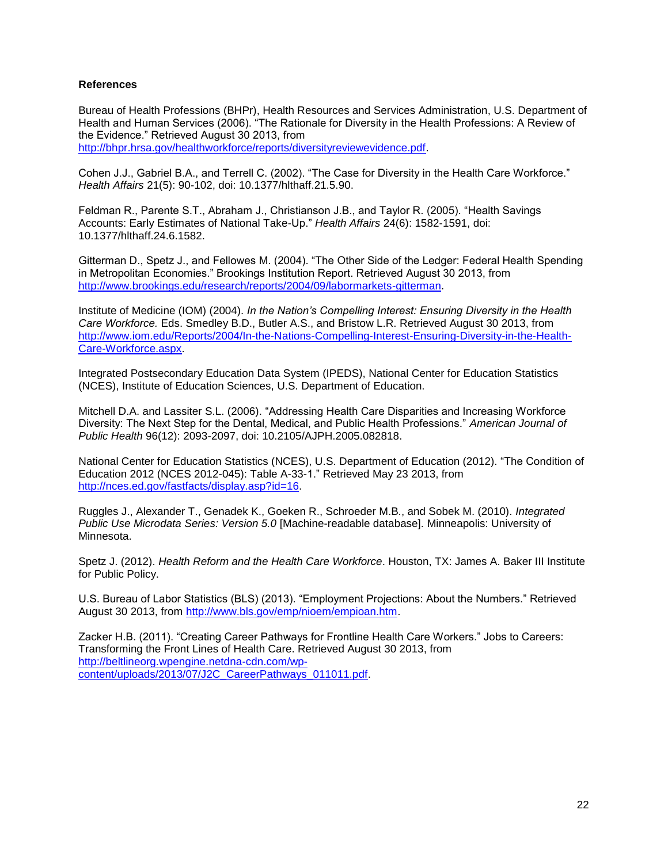# <span id="page-24-0"></span>**References**

Bureau of Health Professions (BHPr), Health Resources and Services Administration, U.S. Department of Health and Human Services (2006). "The Rationale for Diversity in the Health Professions: A Review of the Evidence." Retrieved August 30 2013, from [http://bhpr.hrsa.gov/healthworkforce/reports/diversityreviewevidence.pdf.](http://bhpr.hrsa.gov/healthworkforce/reports/diversityreviewevidence.pdf)

Cohen J.J., Gabriel B.A., and Terrell C. (2002). "The Case for Diversity in the Health Care Workforce." *Health Affairs* 21(5): 90-102, doi: 10.1377/hlthaff.21.5.90.

Feldman R., Parente S.T., Abraham J., Christianson J.B., and Taylor R. (2005). "Health Savings Accounts: Early Estimates of National Take-Up." *Health Affairs* 24(6): 1582-1591, doi: 10.1377/hlthaff.24.6.1582.

Gitterman D., Spetz J., and Fellowes M. (2004). "The Other Side of the Ledger: Federal Health Spending in Metropolitan Economies." Brookings Institution Report. Retrieved August 30 2013, from [http://www.brookings.edu/research/reports/2004/09/labormarkets-gitterman.](http://www.brookings.edu/research/reports/2004/09/labormarkets-gitterman)

Institute of Medicine (IOM) (2004). *In the Nation's Compelling Interest: Ensuring Diversity in the Health Care Workforce.* Eds. Smedley B.D., Butler A.S., and Bristow L.R. Retrieved August 30 2013, from [http://www.iom.edu/Reports/2004/In-the-Nations-Compelling-Interest-Ensuring-Diversity-in-the-Health-](http://www.iom.edu/Reports/2004/In-the-Nations-Compelling-Interest-Ensuring-Diversity-in-the-Health-Care-Workforce.aspx)[Care-Workforce.aspx.](http://www.iom.edu/Reports/2004/In-the-Nations-Compelling-Interest-Ensuring-Diversity-in-the-Health-Care-Workforce.aspx)

Integrated Postsecondary Education Data System (IPEDS), National Center for Education Statistics (NCES), Institute of Education Sciences, U.S. Department of Education.

Mitchell D.A. and Lassiter S.L. (2006). "Addressing Health Care Disparities and Increasing Workforce Diversity: The Next Step for the Dental, Medical, and Public Health Professions." *American Journal of Public Health* 96(12): 2093-2097, doi: 10.2105/AJPH.2005.082818.

National Center for Education Statistics (NCES), U.S. Department of Education (2012). "The Condition of Education 2012 (NCES 2012-045): Table A-33-1." Retrieved May 23 2013, from [http://nces.ed.gov/fastfacts/display.asp?id=16.](http://nces.ed.gov/fastfacts/display.asp?id=16)

Ruggles J., Alexander T., Genadek K., Goeken R., Schroeder M.B., and Sobek M. (2010). *Integrated Public Use Microdata Series: Version 5.0* [Machine-readable database]. Minneapolis: University of Minnesota.

Spetz J. (2012). *Health Reform and the Health Care Workforce*. Houston, TX: James A. Baker III Institute for Public Policy.

U.S. Bureau of Labor Statistics (BLS) (2013). "Employment Projections: About the Numbers." Retrieved August 30 2013, from [http://www.bls.gov/emp/nioem/empioan.htm.](http://www.bls.gov/emp/nioem/empioan.htm)

Zacker H.B. (2011). "Creating Career Pathways for Frontline Health Care Workers." Jobs to Careers: Transforming the Front Lines of Health Care. Retrieved August 30 2013, from [http://beltlineorg.wpengine.netdna-cdn.com/wp](http://beltlineorg.wpengine.netdna-cdn.com/wp-content/uploads/2013/07/J2C_CareerPathways_011011.pdf)[content/uploads/2013/07/J2C\\_CareerPathways\\_011011.pdf.](http://beltlineorg.wpengine.netdna-cdn.com/wp-content/uploads/2013/07/J2C_CareerPathways_011011.pdf)